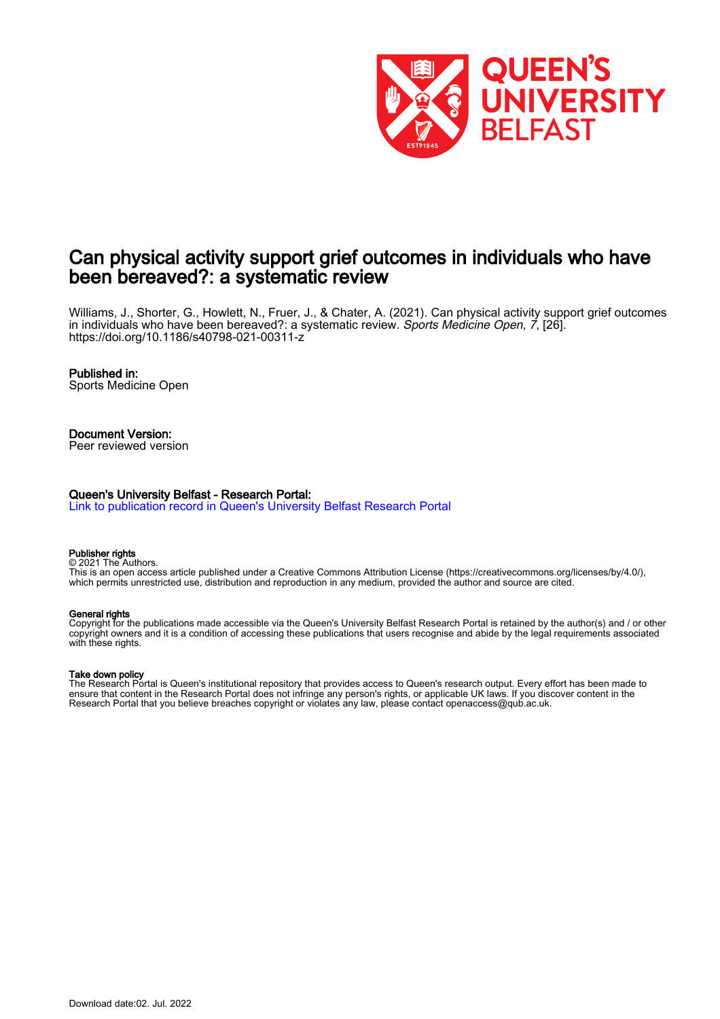

# Can physical activity support grief outcomes in individuals who have been bereaved?: a systematic review

Williams, J., Shorter, G., Howlett, N., Fruer, J., & Chater, A. (2021). Can physical activity support grief outcomes in individuals who have been bereaved?: a systematic review. Sports Medicine Open, 7, [26]. <https://doi.org/10.1186/s40798-021-00311-z>

#### Published in:

Sports Medicine Open

#### Document Version: Peer reviewed version

#### Queen's University Belfast - Research Portal:

[Link to publication record in Queen's University Belfast Research Portal](https://pure.qub.ac.uk/en/publications/888356d7-eb39-4485-a0aa-19931d13bfb6)

#### Publisher rights

© 2021 The Authors. This is an open access article published under a Creative Commons Attribution License (https://creativecommons.org/licenses/by/4.0/), which permits unrestricted use, distribution and reproduction in any medium, provided the author and source are cited.

#### General rights

Copyright for the publications made accessible via the Queen's University Belfast Research Portal is retained by the author(s) and / or other copyright owners and it is a condition of accessing these publications that users recognise and abide by the legal requirements associated with these rights.

#### Take down policy

The Research Portal is Queen's institutional repository that provides access to Queen's research output. Every effort has been made to ensure that content in the Research Portal does not infringe any person's rights, or applicable UK laws. If you discover content in the Research Portal that you believe breaches copyright or violates any law, please contact openaccess@qub.ac.uk.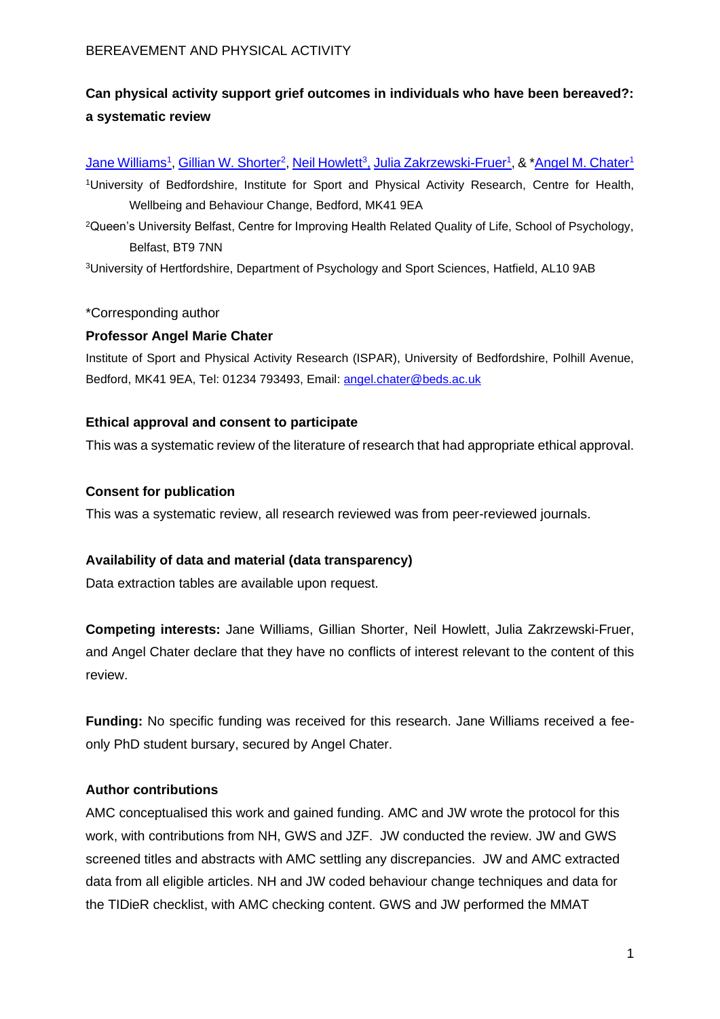# **Can physical activity support grief outcomes in individuals who have been bereaved?: a systematic review**

<u>[Jane Williams](https://orcid.org/0000-0002-4215-8821)<sup>1</sup>[, Gillian W. Shorter](https://orcid.org/0000-0001-5752-2297)<sup>2</sup>[, Neil Howlett](https://orcid.org/0000-0002-6502-9969)<sup>3</sup>, [Julia Zakrzewski-Fruer](https://orcid.org/0000-0003-4167-4100)<sup>1</sup>, & \*<u>Angel M. Chater</u>1</u>

<sup>1</sup>University of Bedfordshire, Institute for Sport and Physical Activity Research, Centre for Health, Wellbeing and Behaviour Change, Bedford, MK41 9EA

<sup>2</sup>Queen's University Belfast, Centre for Improving Health Related Quality of Life, School of Psychology, Belfast, BT9 7NN

<sup>3</sup>University of Hertfordshire, Department of Psychology and Sport Sciences, Hatfield, AL10 9AB

# \*Corresponding author

# **Professor Angel Marie Chater**

Institute of Sport and Physical Activity Research (ISPAR), University of Bedfordshire, Polhill Avenue, Bedford, MK41 9EA, Tel: 01234 793493, Email: [angel.chater@beds.ac.uk](mailto:angel.chater@beds.ac.uk)

# **Ethical approval and consent to participate**

This was a systematic review of the literature of research that had appropriate ethical approval.

# **Consent for publication**

This was a systematic review, all research reviewed was from peer-reviewed journals.

# **Availability of data and material (data transparency)**

Data extraction tables are available upon request.

**Competing interests:** Jane Williams, Gillian Shorter, Neil Howlett, Julia Zakrzewski-Fruer, and Angel Chater declare that they have no conflicts of interest relevant to the content of this review.

**Funding:** No specific funding was received for this research. Jane Williams received a feeonly PhD student bursary, secured by Angel Chater.

# **Author contributions**

AMC conceptualised this work and gained funding. AMC and JW wrote the protocol for this work, with contributions from NH, GWS and JZF. JW conducted the review. JW and GWS screened titles and abstracts with AMC settling any discrepancies. JW and AMC extracted data from all eligible articles. NH and JW coded behaviour change techniques and data for the TIDieR checklist, with AMC checking content. GWS and JW performed the MMAT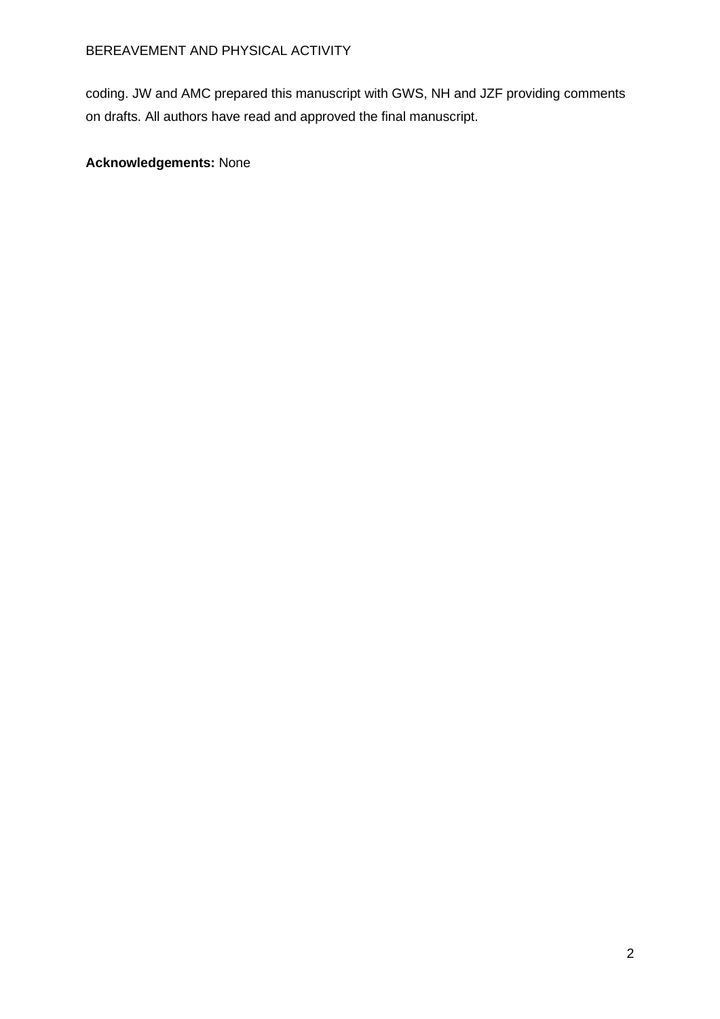coding. JW and AMC prepared this manuscript with GWS, NH and JZF providing comments on drafts. All authors have read and approved the final manuscript.

# **Acknowledgements:** None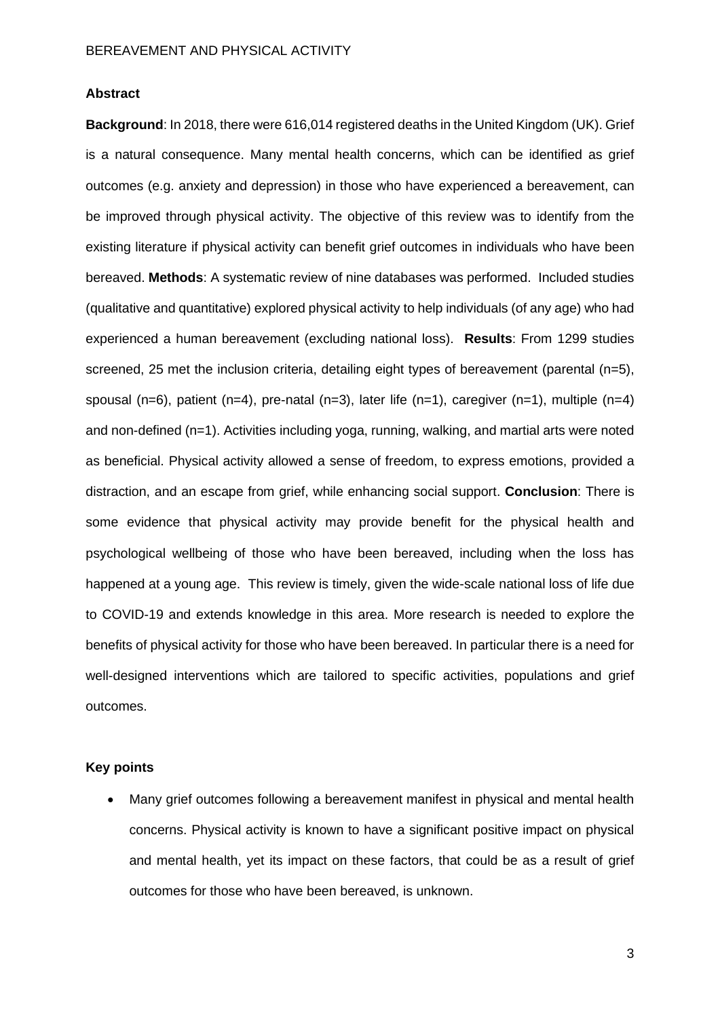## **Abstract**

**Background**: In 2018, there were 616,014 registered deaths in the United Kingdom (UK). Grief is a natural consequence. Many mental health concerns, which can be identified as grief outcomes (e.g. anxiety and depression) in those who have experienced a bereavement, can be improved through physical activity. The objective of this review was to identify from the existing literature if physical activity can benefit grief outcomes in individuals who have been bereaved. **Methods**: A systematic review of nine databases was performed. Included studies (qualitative and quantitative) explored physical activity to help individuals (of any age) who had experienced a human bereavement (excluding national loss). **Results**: From 1299 studies screened, 25 met the inclusion criteria, detailing eight types of bereavement (parental (n=5), spousal (n=6), patient (n=4), pre-natal (n=3), later life (n=1), caregiver (n=1), multiple (n=4) and non-defined (n=1). Activities including yoga, running, walking, and martial arts were noted as beneficial. Physical activity allowed a sense of freedom, to express emotions, provided a distraction, and an escape from grief, while enhancing social support. **Conclusion**: There is some evidence that physical activity may provide benefit for the physical health and psychological wellbeing of those who have been bereaved, including when the loss has happened at a young age. This review is timely, given the wide-scale national loss of life due to COVID-19 and extends knowledge in this area. More research is needed to explore the benefits of physical activity for those who have been bereaved. In particular there is a need for well-designed interventions which are tailored to specific activities, populations and grief outcomes.

# **Key points**

• Many grief outcomes following a bereavement manifest in physical and mental health concerns. Physical activity is known to have a significant positive impact on physical and mental health, yet its impact on these factors, that could be as a result of grief outcomes for those who have been bereaved, is unknown.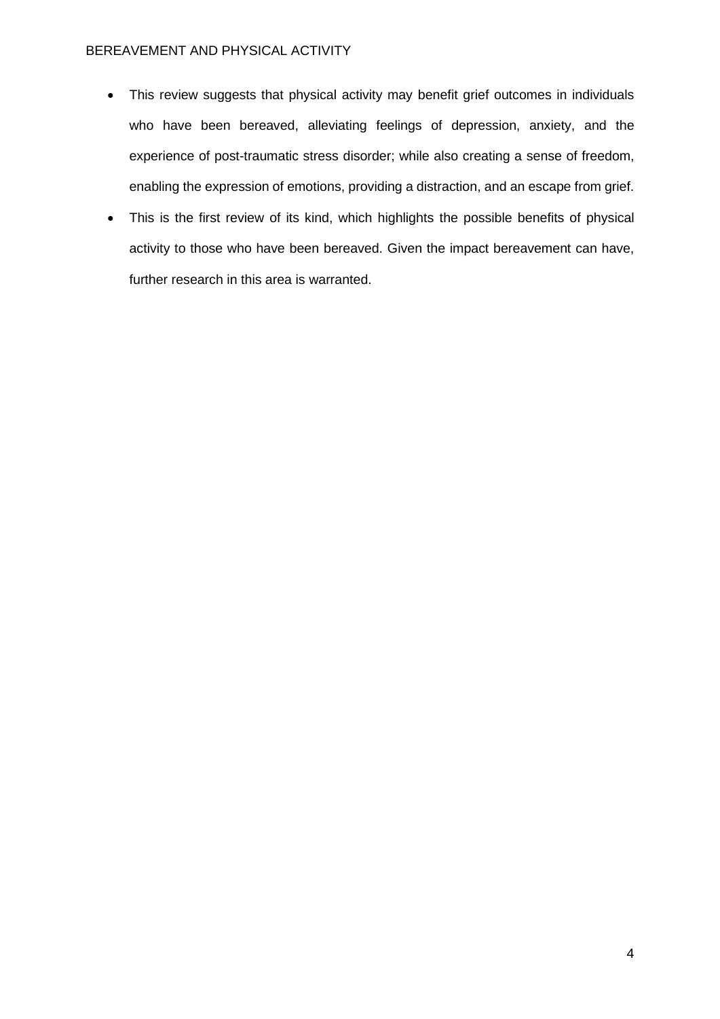- This review suggests that physical activity may benefit grief outcomes in individuals who have been bereaved, alleviating feelings of depression, anxiety, and the experience of post-traumatic stress disorder; while also creating a sense of freedom, enabling the expression of emotions, providing a distraction, and an escape from grief.
- This is the first review of its kind, which highlights the possible benefits of physical activity to those who have been bereaved. Given the impact bereavement can have, further research in this area is warranted.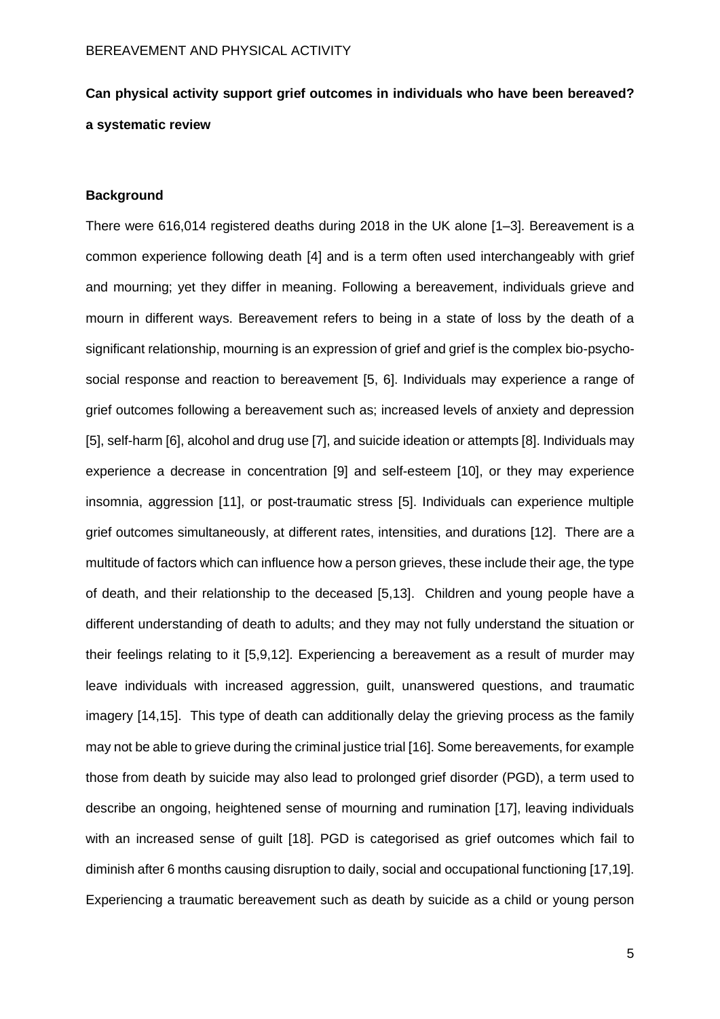# **Can physical activity support grief outcomes in individuals who have been bereaved? a systematic review**

# **Background**

There were 616,014 registered deaths during 2018 in the UK alone [1–3]. Bereavement is a common experience following death [4] and is a term often used interchangeably with grief and mourning; yet they differ in meaning. Following a bereavement, individuals grieve and mourn in different ways. Bereavement refers to being in a state of loss by the death of a significant relationship, mourning is an expression of grief and grief is the complex bio-psychosocial response and reaction to bereavement [5, 6]. Individuals may experience a range of grief outcomes following a bereavement such as; increased levels of anxiety and depression [5], self-harm [6], alcohol and drug use [7], and suicide ideation or attempts [8]. Individuals may experience a decrease in concentration [9] and self-esteem [10], or they may experience insomnia, aggression [11], or post-traumatic stress [5]. Individuals can experience multiple grief outcomes simultaneously, at different rates, intensities, and durations [12]. There are a multitude of factors which can influence how a person grieves, these include their age, the type of death, and their relationship to the deceased [5,13]. Children and young people have a different understanding of death to adults; and they may not fully understand the situation or their feelings relating to it [5,9,12]. Experiencing a bereavement as a result of murder may leave individuals with increased aggression, guilt, unanswered questions, and traumatic imagery [14,15]. This type of death can additionally delay the grieving process as the family may not be able to grieve during the criminal justice trial [16]. Some bereavements, for example those from death by suicide may also lead to prolonged grief disorder (PGD), a term used to describe an ongoing, heightened sense of mourning and rumination [17], leaving individuals with an increased sense of guilt [18]. PGD is categorised as grief outcomes which fail to diminish after 6 months causing disruption to daily, social and occupational functioning [17,19]. Experiencing a traumatic bereavement such as death by suicide as a child or young person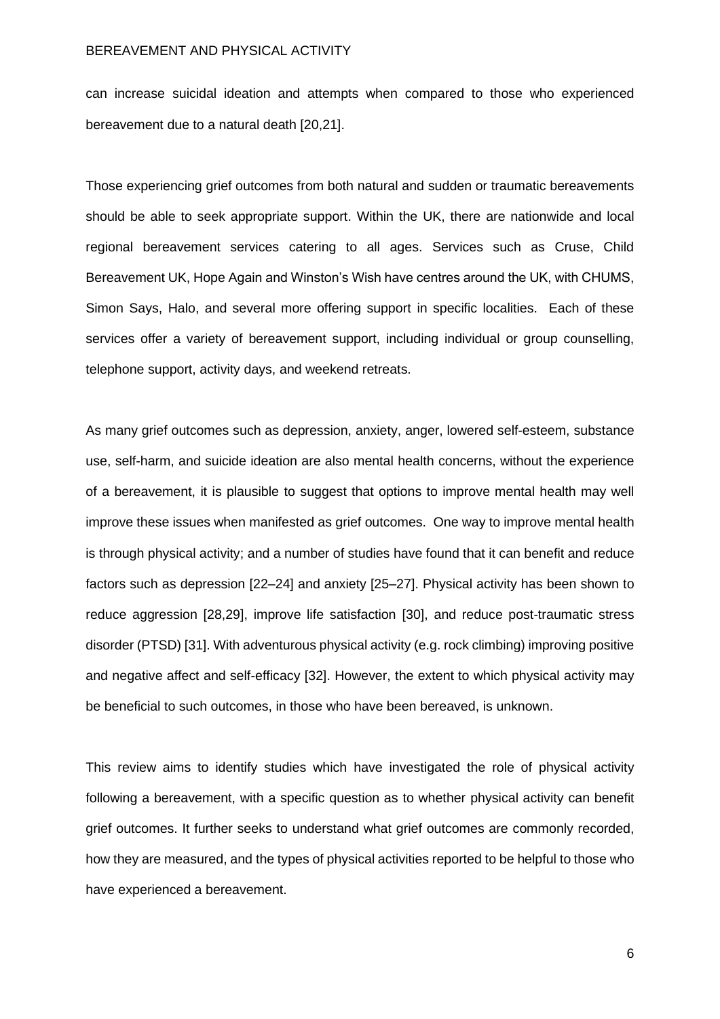can increase suicidal ideation and attempts when compared to those who experienced bereavement due to a natural death [20,21].

Those experiencing grief outcomes from both natural and sudden or traumatic bereavements should be able to seek appropriate support. Within the UK, there are nationwide and local regional bereavement services catering to all ages. Services such as Cruse, Child Bereavement UK, Hope Again and Winston's Wish have centres around the UK, with CHUMS, Simon Says, Halo, and several more offering support in specific localities. Each of these services offer a variety of bereavement support, including individual or group counselling, telephone support, activity days, and weekend retreats.

As many grief outcomes such as depression, anxiety, anger, lowered self-esteem, substance use, self-harm, and suicide ideation are also mental health concerns, without the experience of a bereavement, it is plausible to suggest that options to improve mental health may well improve these issues when manifested as grief outcomes. One way to improve mental health is through physical activity; and a number of studies have found that it can benefit and reduce factors such as depression [22–24] and anxiety [25–27]. Physical activity has been shown to reduce aggression [28,29], improve life satisfaction [30], and reduce post-traumatic stress disorder (PTSD) [31]. With adventurous physical activity (e.g. rock climbing) improving positive and negative affect and self-efficacy [32]. However, the extent to which physical activity may be beneficial to such outcomes, in those who have been bereaved, is unknown.

This review aims to identify studies which have investigated the role of physical activity following a bereavement, with a specific question as to whether physical activity can benefit grief outcomes. It further seeks to understand what grief outcomes are commonly recorded, how they are measured, and the types of physical activities reported to be helpful to those who have experienced a bereavement.

6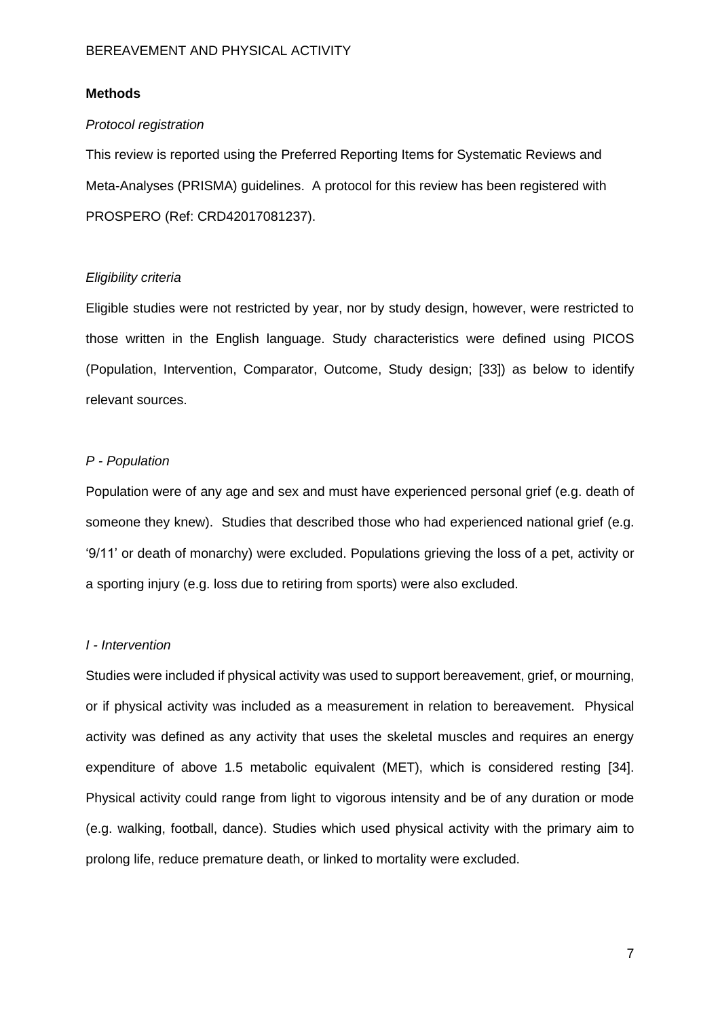# **Methods**

#### *Protocol registration*

This review is reported using the Preferred Reporting Items for Systematic Reviews and Meta-Analyses (PRISMA) guidelines. A protocol for this review has been registered with PROSPERO (Ref: CRD42017081237).

#### *Eligibility criteria*

Eligible studies were not restricted by year, nor by study design, however, were restricted to those written in the English language. Study characteristics were defined using PICOS (Population, Intervention, Comparator, Outcome, Study design; [33]) as below to identify relevant sources.

## *P - Population*

Population were of any age and sex and must have experienced personal grief (e.g. death of someone they knew). Studies that described those who had experienced national grief (e.g. '9/11' or death of monarchy) were excluded. Populations grieving the loss of a pet, activity or a sporting injury (e.g. loss due to retiring from sports) were also excluded.

# *I - Intervention*

Studies were included if physical activity was used to support bereavement, grief, or mourning, or if physical activity was included as a measurement in relation to bereavement. Physical activity was defined as any activity that uses the skeletal muscles and requires an energy expenditure of above 1.5 metabolic equivalent (MET), which is considered resting [34]. Physical activity could range from light to vigorous intensity and be of any duration or mode (e.g. walking, football, dance). Studies which used physical activity with the primary aim to prolong life, reduce premature death, or linked to mortality were excluded.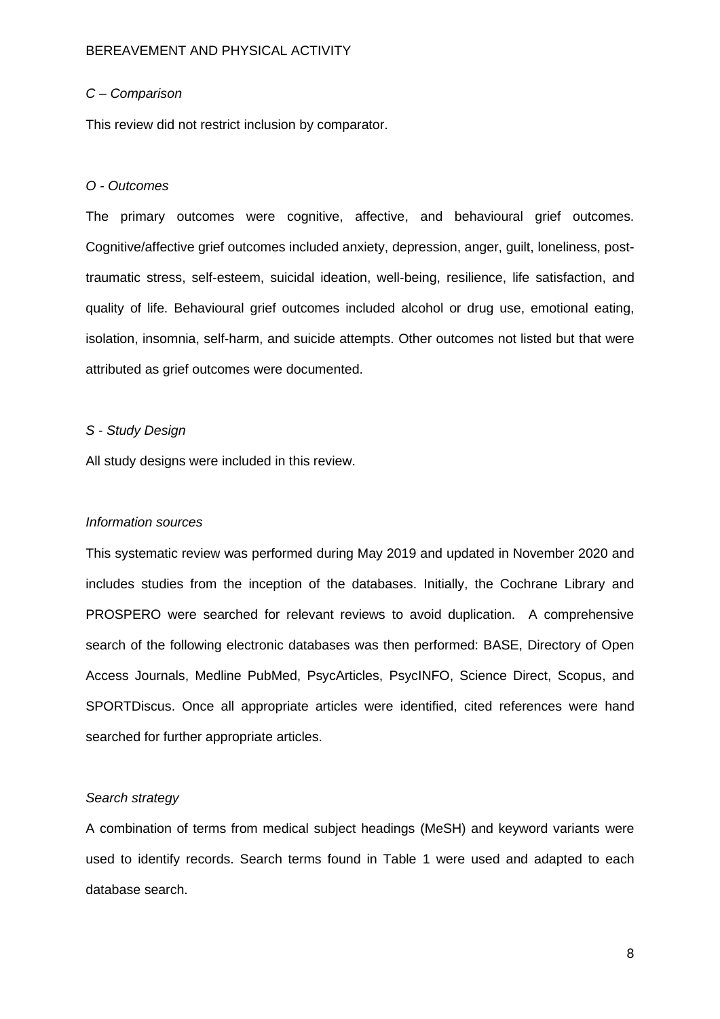## *C – Comparison*

This review did not restrict inclusion by comparator.

#### *O - Outcomes*

The primary outcomes were cognitive, affective, and behavioural grief outcomes. Cognitive/affective grief outcomes included anxiety, depression, anger, guilt, loneliness, posttraumatic stress, self-esteem, suicidal ideation, well-being, resilience, life satisfaction, and quality of life. Behavioural grief outcomes included alcohol or drug use, emotional eating, isolation, insomnia, self-harm, and suicide attempts. Other outcomes not listed but that were attributed as grief outcomes were documented.

### *S - Study Design*

All study designs were included in this review.

#### *Information sources*

This systematic review was performed during May 2019 and updated in November 2020 and includes studies from the inception of the databases. Initially, the Cochrane Library and PROSPERO were searched for relevant reviews to avoid duplication. A comprehensive search of the following electronic databases was then performed: BASE, Directory of Open Access Journals, Medline PubMed, PsycArticles, PsycINFO, Science Direct, Scopus, and SPORTDiscus. Once all appropriate articles were identified, cited references were hand searched for further appropriate articles.

## *Search strategy*

A combination of terms from medical subject headings (MeSH) and keyword variants were used to identify records. Search terms found in Table 1 were used and adapted to each database search.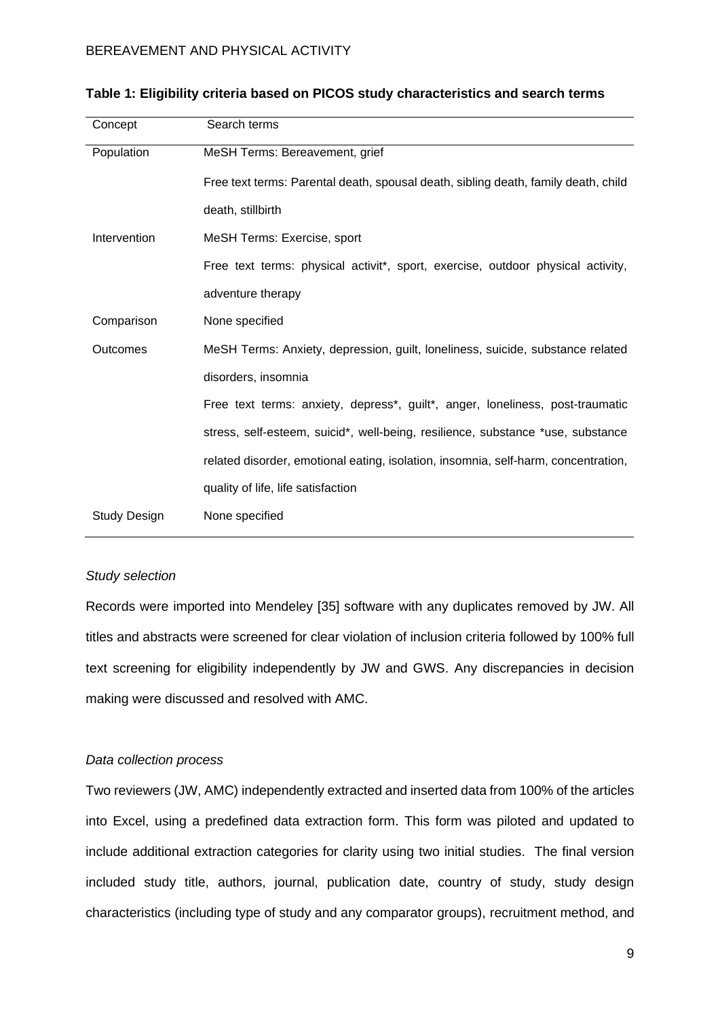| Concept             | Search terms                                                                       |
|---------------------|------------------------------------------------------------------------------------|
| Population          | MeSH Terms: Bereavement, grief                                                     |
|                     | Free text terms: Parental death, spousal death, sibling death, family death, child |
|                     | death, stillbirth                                                                  |
| Intervention        | MeSH Terms: Exercise, sport                                                        |
|                     | Free text terms: physical activit*, sport, exercise, outdoor physical activity,    |
|                     | adventure therapy                                                                  |
| Comparison          | None specified                                                                     |
| Outcomes            | MeSH Terms: Anxiety, depression, guilt, loneliness, suicide, substance related     |
|                     | disorders, insomnia                                                                |
|                     | Free text terms: anxiety, depress*, guilt*, anger, loneliness, post-traumatic      |
|                     | stress, self-esteem, suicid*, well-being, resilience, substance *use, substance    |
|                     | related disorder, emotional eating, isolation, insomnia, self-harm, concentration, |
|                     | quality of life, life satisfaction                                                 |
| <b>Study Design</b> | None specified                                                                     |

## **Table 1: Eligibility criteria based on PICOS study characteristics and search terms**

# *Study selection*

Records were imported into Mendeley [35] software with any duplicates removed by JW. All titles and abstracts were screened for clear violation of inclusion criteria followed by 100% full text screening for eligibility independently by JW and GWS. Any discrepancies in decision making were discussed and resolved with AMC.

#### *Data collection process*

Two reviewers (JW, AMC) independently extracted and inserted data from 100% of the articles into Excel, using a predefined data extraction form. This form was piloted and updated to include additional extraction categories for clarity using two initial studies. The final version included study title, authors, journal, publication date, country of study, study design characteristics (including type of study and any comparator groups), recruitment method, and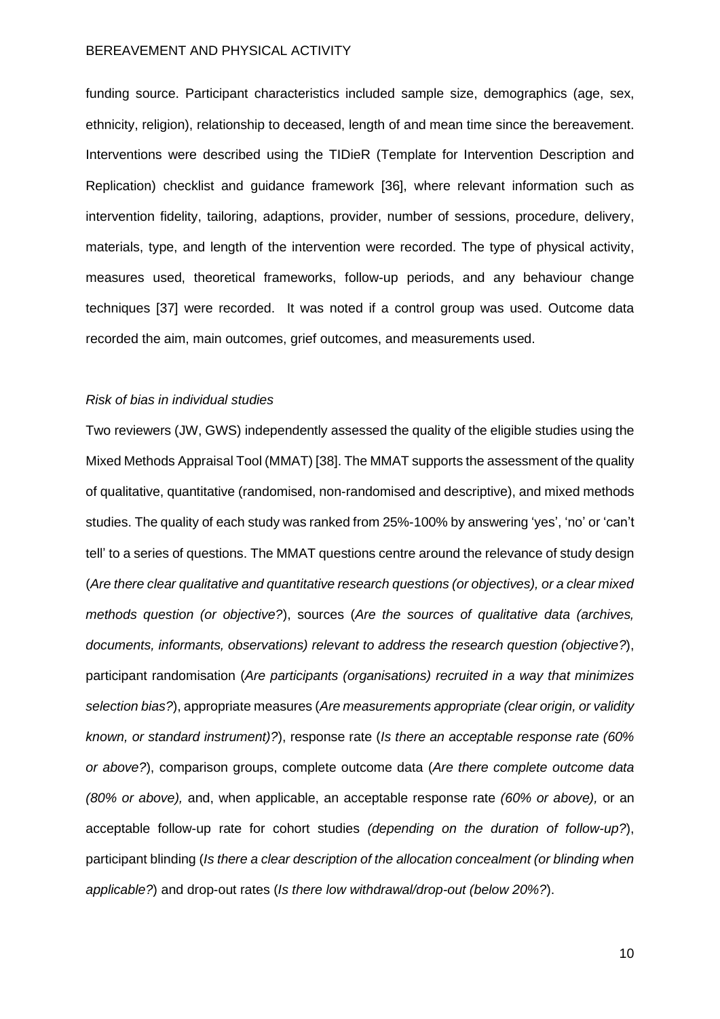funding source. Participant characteristics included sample size, demographics (age, sex, ethnicity, religion), relationship to deceased, length of and mean time since the bereavement. Interventions were described using the TIDieR (Template for Intervention Description and Replication) checklist and guidance framework [36], where relevant information such as intervention fidelity, tailoring, adaptions, provider, number of sessions, procedure, delivery, materials, type, and length of the intervention were recorded. The type of physical activity, measures used, theoretical frameworks, follow-up periods, and any behaviour change techniques [37] were recorded. It was noted if a control group was used. Outcome data recorded the aim, main outcomes, grief outcomes, and measurements used.

#### *Risk of bias in individual studies*

Two reviewers (JW, GWS) independently assessed the quality of the eligible studies using the Mixed Methods Appraisal Tool (MMAT) [38]. The MMAT supports the assessment of the quality of qualitative, quantitative (randomised, non-randomised and descriptive), and mixed methods studies. The quality of each study was ranked from 25%-100% by answering 'yes', 'no' or 'can't tell' to a series of questions. The MMAT questions centre around the relevance of study design (*Are there clear qualitative and quantitative research questions (or objectives), or a clear mixed methods question (or objective?*), sources (*Are the sources of qualitative data (archives, documents, informants, observations) relevant to address the research question (objective?*), participant randomisation (*Are participants (organisations) recruited in a way that minimizes selection bias?*), appropriate measures (*Are measurements appropriate (clear origin, or validity known, or standard instrument)?*), response rate (*Is there an acceptable response rate (60% or above?*), comparison groups, complete outcome data (*Are there complete outcome data (80% or above),* and, when applicable, an acceptable response rate *(60% or above),* or an acceptable follow-up rate for cohort studies *(depending on the duration of follow-up?*), participant blinding (*Is there a clear description of the allocation concealment (or blinding when applicable?*) and drop-out rates (*Is there low withdrawal/drop-out (below 20%?*).

10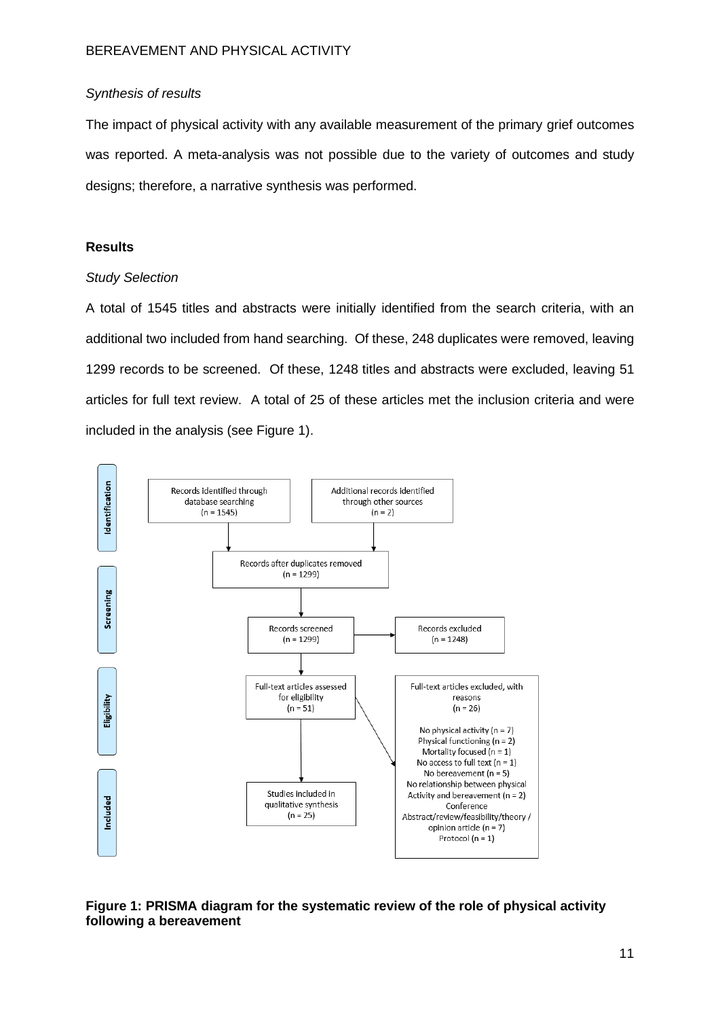# *Synthesis of results*

The impact of physical activity with any available measurement of the primary grief outcomes was reported. A meta-analysis was not possible due to the variety of outcomes and study designs; therefore, a narrative synthesis was performed.

# **Results**

# *Study Selection*

A total of 1545 titles and abstracts were initially identified from the search criteria, with an additional two included from hand searching. Of these, 248 duplicates were removed, leaving 1299 records to be screened. Of these, 1248 titles and abstracts were excluded, leaving 51 articles for full text review. A total of 25 of these articles met the inclusion criteria and were included in the analysis (see Figure 1).



**Figure 1: PRISMA diagram for the systematic review of the role of physical activity following a bereavement**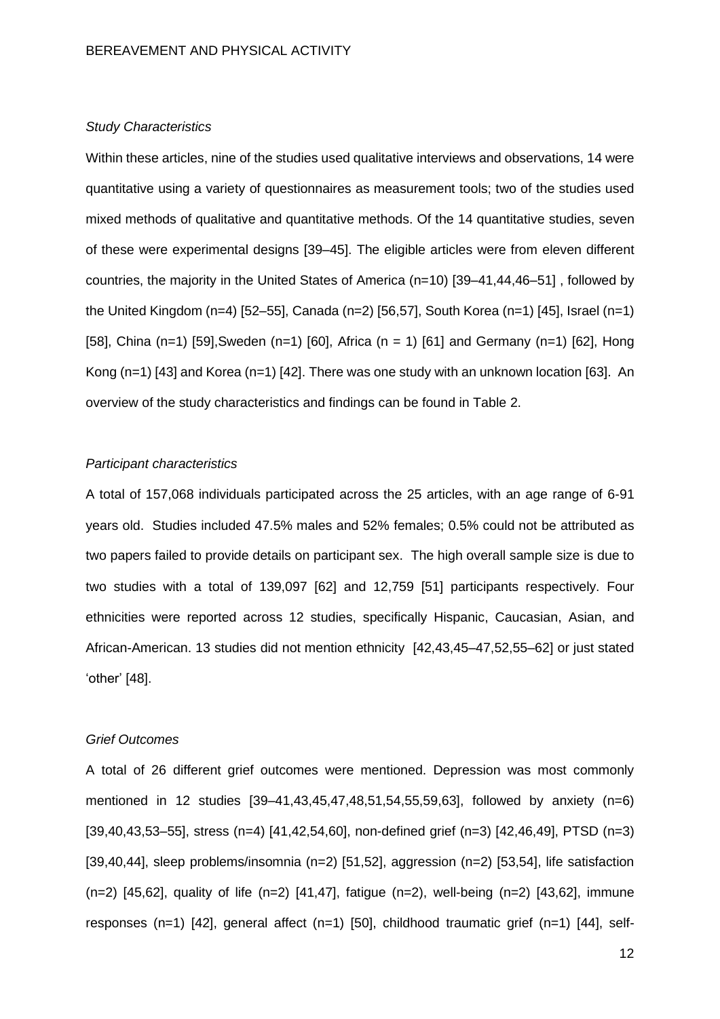#### *Study Characteristics*

Within these articles, nine of the studies used qualitative interviews and observations, 14 were quantitative using a variety of questionnaires as measurement tools; two of the studies used mixed methods of qualitative and quantitative methods. Of the 14 quantitative studies, seven of these were experimental designs [39–45]. The eligible articles were from eleven different countries, the majority in the United States of America (n=10) [39–41,44,46–51] , followed by the United Kingdom (n=4) [52–55], Canada (n=2) [56,57], South Korea (n=1) [45], Israel (n=1) [58], China (n=1) [59], Sweden (n=1) [60], Africa (n = 1) [61] and Germany (n=1) [62], Hong Kong (n=1) [43] and Korea (n=1) [42]. There was one study with an unknown location [63]. An overview of the study characteristics and findings can be found in Table 2.

## *Participant characteristics*

A total of 157,068 individuals participated across the 25 articles, with an age range of 6-91 years old. Studies included 47.5% males and 52% females; 0.5% could not be attributed as two papers failed to provide details on participant sex. The high overall sample size is due to two studies with a total of 139,097 [62] and 12,759 [51] participants respectively. Four ethnicities were reported across 12 studies, specifically Hispanic, Caucasian, Asian, and African-American. 13 studies did not mention ethnicity [42,43,45–47,52,55–62] or just stated 'other' [48].

### *Grief Outcomes*

A total of 26 different grief outcomes were mentioned. Depression was most commonly mentioned in 12 studies [39–41,43,45,47,48,51,54,55,59,63], followed by anxiety (n=6) [39,40,43,53–55], stress (n=4) [41,42,54,60], non-defined grief (n=3) [42,46,49], PTSD (n=3)  $[39,40,44]$ , sleep problems/insomnia (n=2)  $[51,52]$ , aggression (n=2)  $[53,54]$ , life satisfaction (n=2) [45,62], quality of life (n=2) [41,47], fatigue (n=2), well-being (n=2) [43,62], immune responses (n=1) [42], general affect (n=1) [50], childhood traumatic grief (n=1) [44], self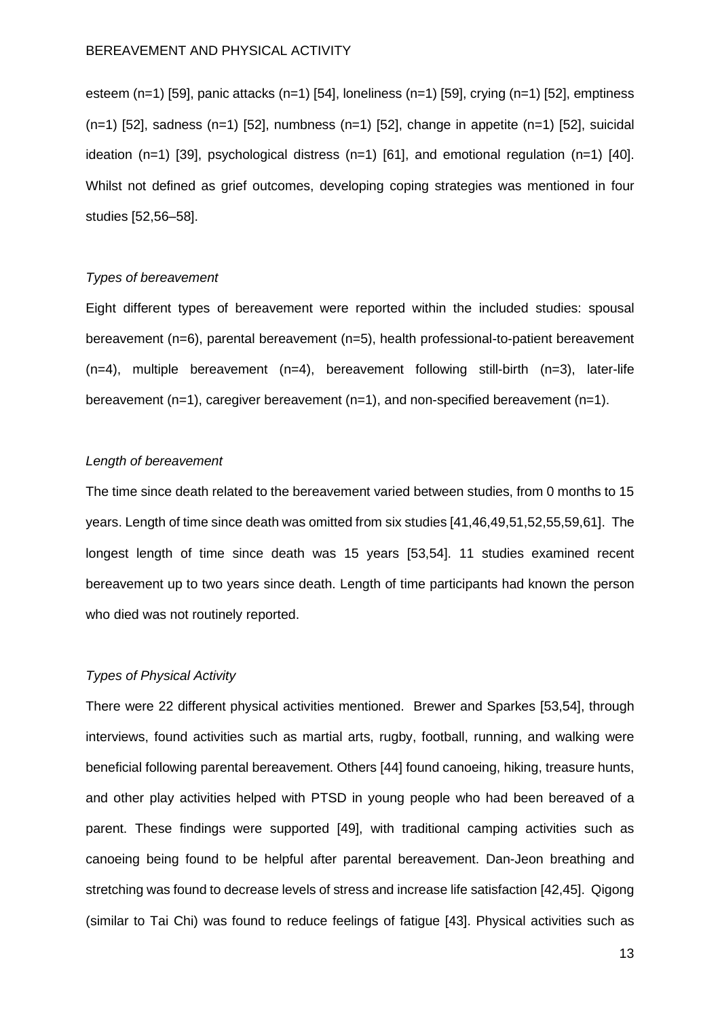esteem (n=1) [59], panic attacks (n=1) [54], loneliness (n=1) [59], crying (n=1) [52], emptiness  $(n=1)$  [52], sadness  $(n=1)$  [52], numbness  $(n=1)$  [52], change in appetite  $(n=1)$  [52], suicidal ideation  $(n=1)$  [39], psychological distress  $(n=1)$  [61], and emotional regulation  $(n=1)$  [40]. Whilst not defined as grief outcomes, developing coping strategies was mentioned in four studies [52,56–58].

### *Types of bereavement*

Eight different types of bereavement were reported within the included studies: spousal bereavement (n=6), parental bereavement (n=5), health professional-to-patient bereavement  $(n=4)$ , multiple bereavement  $(n=4)$ , bereavement following still-birth  $(n=3)$ , later-life bereavement (n=1), caregiver bereavement (n=1), and non-specified bereavement (n=1).

#### *Length of bereavement*

The time since death related to the bereavement varied between studies, from 0 months to 15 years. Length of time since death was omitted from six studies [41,46,49,51,52,55,59,61]. The longest length of time since death was 15 years [53,54]. 11 studies examined recent bereavement up to two years since death. Length of time participants had known the person who died was not routinely reported.

## *Types of Physical Activity*

There were 22 different physical activities mentioned. Brewer and Sparkes [53,54], through interviews, found activities such as martial arts, rugby, football, running, and walking were beneficial following parental bereavement. Others [44] found canoeing, hiking, treasure hunts, and other play activities helped with PTSD in young people who had been bereaved of a parent. These findings were supported [49], with traditional camping activities such as canoeing being found to be helpful after parental bereavement. Dan-Jeon breathing and stretching was found to decrease levels of stress and increase life satisfaction [42,45]. Qigong (similar to Tai Chi) was found to reduce feelings of fatigue [43]. Physical activities such as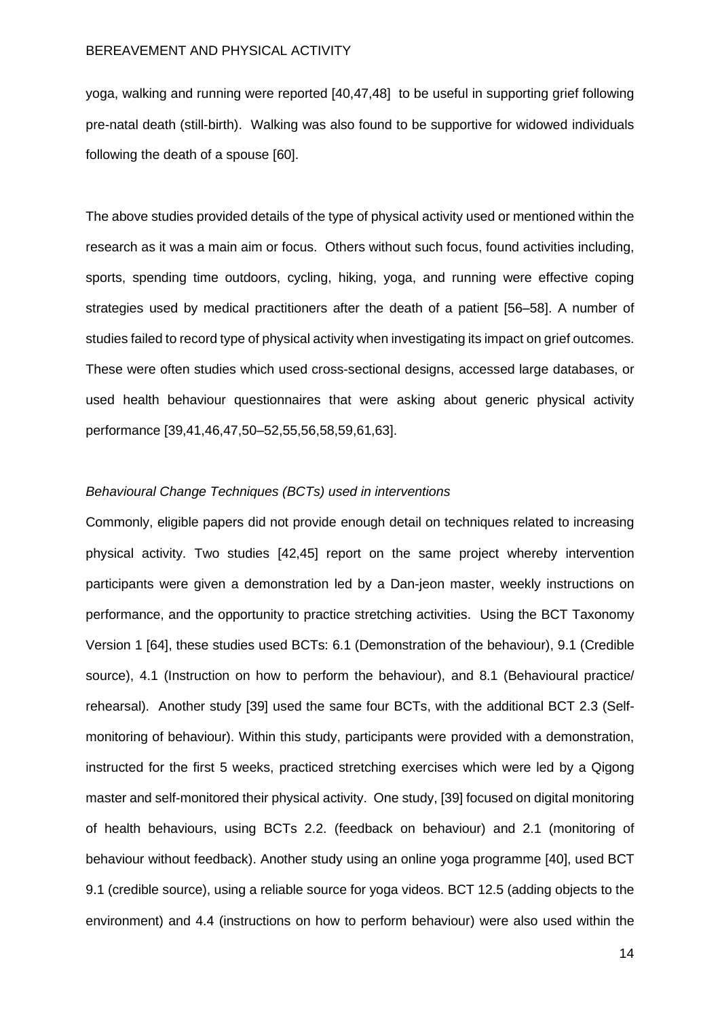yoga, walking and running were reported [40,47,48] to be useful in supporting grief following pre-natal death (still-birth). Walking was also found to be supportive for widowed individuals following the death of a spouse [60].

The above studies provided details of the type of physical activity used or mentioned within the research as it was a main aim or focus. Others without such focus, found activities including, sports, spending time outdoors, cycling, hiking, yoga, and running were effective coping strategies used by medical practitioners after the death of a patient [56–58]. A number of studies failed to record type of physical activity when investigating its impact on grief outcomes. These were often studies which used cross-sectional designs, accessed large databases, or used health behaviour questionnaires that were asking about generic physical activity performance [39,41,46,47,50–52,55,56,58,59,61,63].

#### *Behavioural Change Techniques (BCTs) used in interventions*

Commonly, eligible papers did not provide enough detail on techniques related to increasing physical activity. Two studies [42,45] report on the same project whereby intervention participants were given a demonstration led by a Dan-jeon master, weekly instructions on performance, and the opportunity to practice stretching activities. Using the BCT Taxonomy Version 1 [64], these studies used BCTs: 6.1 (Demonstration of the behaviour), 9.1 (Credible source), 4.1 (Instruction on how to perform the behaviour), and 8.1 (Behavioural practice/ rehearsal). Another study [39] used the same four BCTs, with the additional BCT 2.3 (Selfmonitoring of behaviour). Within this study, participants were provided with a demonstration, instructed for the first 5 weeks, practiced stretching exercises which were led by a Qigong master and self-monitored their physical activity. One study, [39] focused on digital monitoring of health behaviours, using BCTs 2.2. (feedback on behaviour) and 2.1 (monitoring of behaviour without feedback). Another study using an online yoga programme [40], used BCT 9.1 (credible source), using a reliable source for yoga videos. BCT 12.5 (adding objects to the environment) and 4.4 (instructions on how to perform behaviour) were also used within the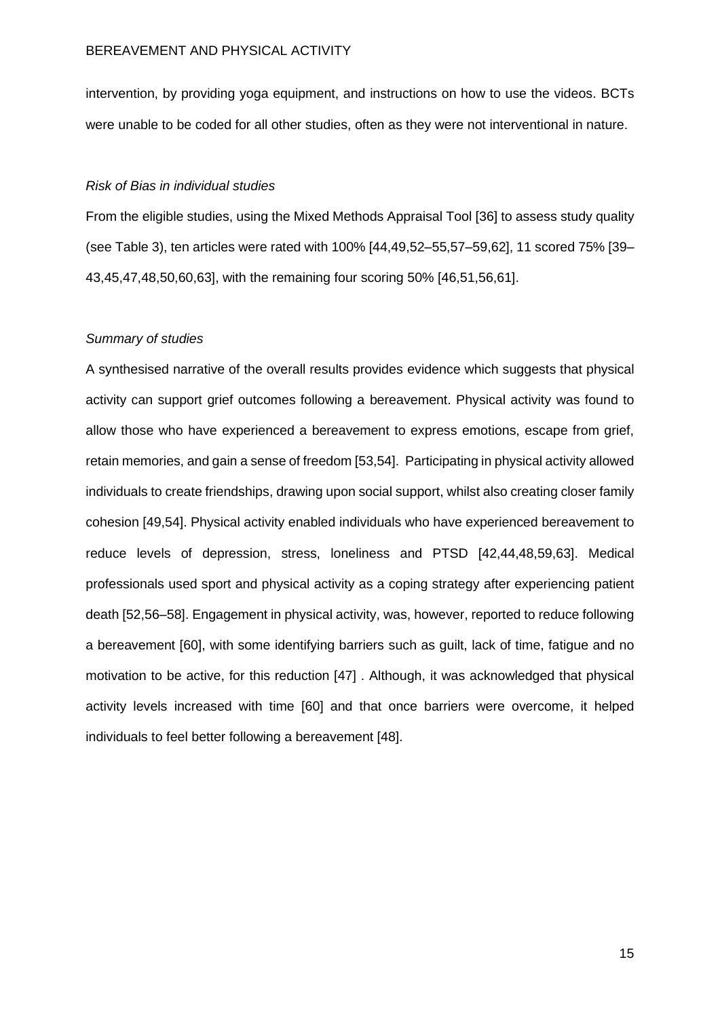intervention, by providing yoga equipment, and instructions on how to use the videos. BCTs were unable to be coded for all other studies, often as they were not interventional in nature.

#### *Risk of Bias in individual studies*

From the eligible studies, using the Mixed Methods Appraisal Tool [36] to assess study quality (see Table 3), ten articles were rated with 100% [44,49,52–55,57–59,62], 11 scored 75% [39– 43,45,47,48,50,60,63], with the remaining four scoring 50% [46,51,56,61].

#### *Summary of studies*

A synthesised narrative of the overall results provides evidence which suggests that physical activity can support grief outcomes following a bereavement. Physical activity was found to allow those who have experienced a bereavement to express emotions, escape from grief, retain memories, and gain a sense of freedom [53,54]. Participating in physical activity allowed individuals to create friendships, drawing upon social support, whilst also creating closer family cohesion [49,54]. Physical activity enabled individuals who have experienced bereavement to reduce levels of depression, stress, loneliness and PTSD [42,44,48,59,63]. Medical professionals used sport and physical activity as a coping strategy after experiencing patient death [52,56–58]. Engagement in physical activity, was, however, reported to reduce following a bereavement [60], with some identifying barriers such as guilt, lack of time, fatigue and no motivation to be active, for this reduction [47] . Although, it was acknowledged that physical activity levels increased with time [60] and that once barriers were overcome, it helped individuals to feel better following a bereavement [48].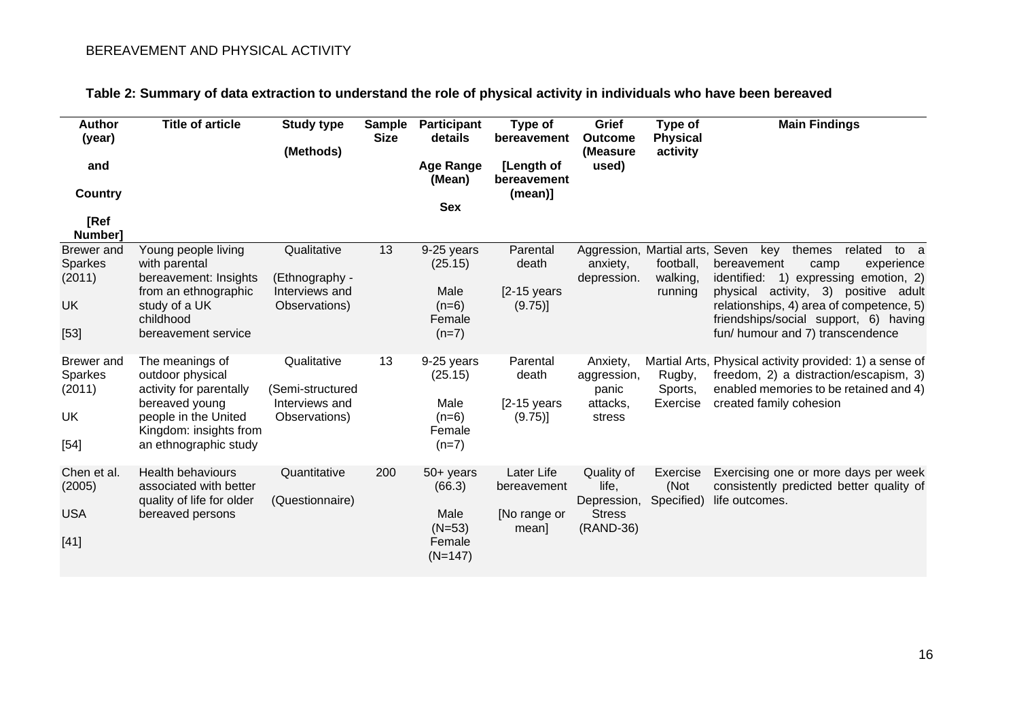| <b>Author</b><br>(year)                         | <b>Title of article</b>                                                                                                                                     | <b>Study type</b><br>(Methods)                                     | <b>Sample</b><br><b>Size</b> | Participant<br>details                                           | Type of<br>bereavement                            | Grief<br><b>Outcome</b><br>(Measure                              | Type of<br><b>Physical</b><br>activity | <b>Main Findings</b>                                                                                                                                                                                                                  |  |
|-------------------------------------------------|-------------------------------------------------------------------------------------------------------------------------------------------------------------|--------------------------------------------------------------------|------------------------------|------------------------------------------------------------------|---------------------------------------------------|------------------------------------------------------------------|----------------------------------------|---------------------------------------------------------------------------------------------------------------------------------------------------------------------------------------------------------------------------------------|--|
| and                                             |                                                                                                                                                             |                                                                    |                              | <b>Age Range</b><br>(Mean)                                       | [Length of<br>bereavement                         | used)                                                            |                                        |                                                                                                                                                                                                                                       |  |
| Country                                         |                                                                                                                                                             |                                                                    |                              | <b>Sex</b>                                                       | $(mean)$ ]                                        |                                                                  |                                        |                                                                                                                                                                                                                                       |  |
| [Ref<br>Number]                                 |                                                                                                                                                             |                                                                    |                              |                                                                  |                                                   |                                                                  |                                        |                                                                                                                                                                                                                                       |  |
| <b>Brewer</b> and<br>Sparkes<br>(2011)<br>UK    | Young people living<br>with parental<br>bereavement: Insights<br>from an ethnographic<br>study of a UK                                                      | Qualitative<br>(Ethnography -<br>Interviews and<br>Observations)   | 13                           | 9-25 years<br>(25.15)<br>Male<br>$(n=6)$                         | Parental<br>death<br>$[2-15$ years<br>(9.75)      | anxiety,<br>depression.                                          | football,<br>walking,<br>running       | Aggression, Martial arts, Seven key<br>themes<br>related<br>to a<br>bereavement<br>experience<br>camp<br>1) expressing emotion, 2)<br>identified:<br>physical activity, 3) positive adult<br>relationships, 4) area of competence, 5) |  |
| [53]                                            | childhood<br>bereavement service                                                                                                                            |                                                                    |                              | Female<br>$(n=7)$                                                |                                                   |                                                                  |                                        | friendships/social support, 6) having<br>fun/ humour and 7) transcendence                                                                                                                                                             |  |
| Brewer and<br>Sparkes<br>(2011)<br>UK<br>$[54]$ | The meanings of<br>outdoor physical<br>activity for parentally<br>bereaved young<br>people in the United<br>Kingdom: insights from<br>an ethnographic study | Qualitative<br>(Semi-structured<br>Interviews and<br>Observations) | 13                           | 9-25 years<br>(25.15)<br>Male<br>$(n=6)$<br>Female<br>$(n=7)$    | Parental<br>death<br>$[2-15$ years<br>(9.75)      | Anxiety,<br>aggression,<br>panic<br>attacks,<br>stress           | Rugby,<br>Sports,<br>Exercise          | Martial Arts, Physical activity provided: 1) a sense of<br>freedom, 2) a distraction/escapism, 3)<br>enabled memories to be retained and 4)<br>created family cohesion                                                                |  |
| Chen et al.<br>(2005)<br><b>USA</b><br>$[41]$   | <b>Health behaviours</b><br>associated with better<br>quality of life for older<br>bereaved persons                                                         | Quantitative<br>(Questionnaire)                                    | 200                          | $50+$ years<br>(66.3)<br>Male<br>$(N=53)$<br>Female<br>$(N=147)$ | Later Life<br>bereavement<br>[No range or<br>mean | Quality of<br>life,<br>Depression,<br><b>Stress</b><br>(RAND-36) | Exercise<br>(Not<br>Specified)         | Exercising one or more days per week<br>consistently predicted better quality of<br>life outcomes.                                                                                                                                    |  |

# **Table 2: Summary of data extraction to understand the role of physical activity in individuals who have been bereaved**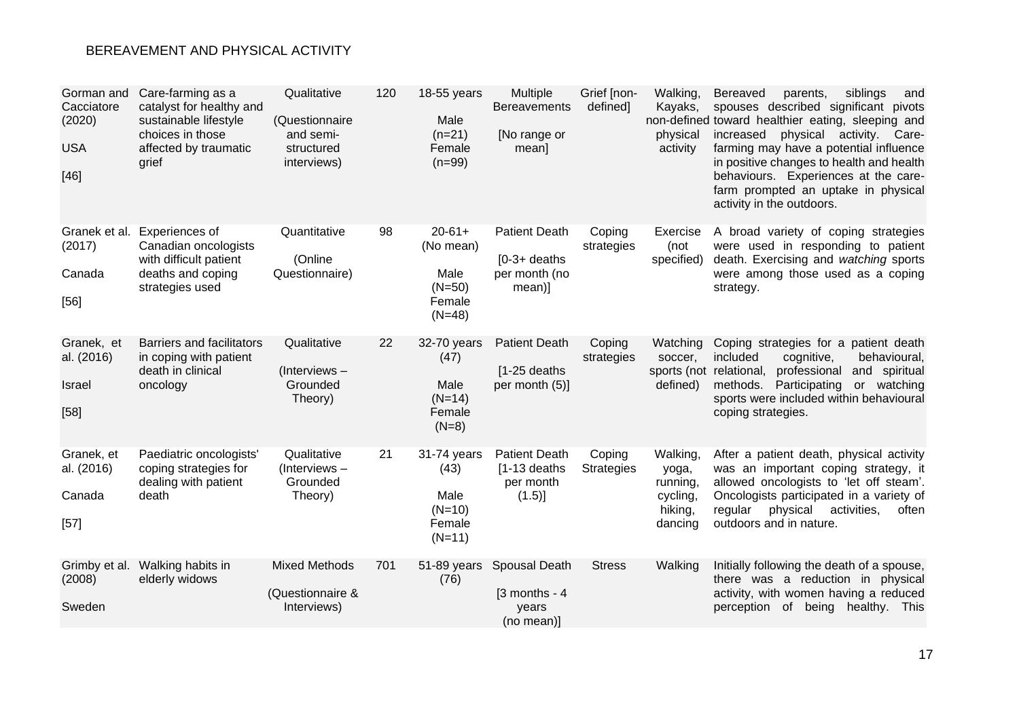| Gorman and<br>Cacciatore<br>(2020)<br><b>USA</b><br>$[46]$ | Care-farming as a<br>catalyst for healthy and<br>sustainable lifestyle<br>choices in those<br>affected by traumatic<br>grief | Qualitative<br>(Questionnaire<br>and semi-<br>structured<br>interviews) | 120 | 18-55 years<br>Male<br>$(n=21)$<br>Female<br>$(n=99)$              | Multiple<br><b>Bereavements</b><br>[No range or<br>mean]          | Grief [non-<br>defined]     | Walking,<br>Kayaks,<br>physical<br>activity                     | siblings<br>and<br><b>Bereaved</b><br>parents,<br>spouses described significant pivots<br>non-defined toward healthier eating, sleeping and<br>increased<br>physical activity. Care-<br>farming may have a potential influence<br>in positive changes to health and health<br>behaviours. Experiences at the care-<br>farm prompted an uptake in physical<br>activity in the outdoors. |
|------------------------------------------------------------|------------------------------------------------------------------------------------------------------------------------------|-------------------------------------------------------------------------|-----|--------------------------------------------------------------------|-------------------------------------------------------------------|-----------------------------|-----------------------------------------------------------------|----------------------------------------------------------------------------------------------------------------------------------------------------------------------------------------------------------------------------------------------------------------------------------------------------------------------------------------------------------------------------------------|
| Granek et al.<br>(2017)<br>Canada<br>[56]                  | Experiences of<br>Canadian oncologists<br>with difficult patient<br>deaths and coping<br>strategies used                     | Quantitative<br>(Online<br>Questionnaire)                               | 98  | $20 - 61 +$<br>(No mean)<br>Male<br>$(N=50)$<br>Female<br>$(N=48)$ | <b>Patient Death</b><br>$[0-3+$ deaths<br>per month (no<br>mean)] | Coping<br>strategies        | Exercise<br>(not<br>specified)                                  | A broad variety of coping strategies<br>were used in responding to patient<br>death. Exercising and watching sports<br>were among those used as a coping<br>strategy.                                                                                                                                                                                                                  |
| Granek, et<br>al. (2016)<br>Israel<br>[58]                 | <b>Barriers and facilitators</b><br>in coping with patient<br>death in clinical<br>oncology                                  | Qualitative<br>(Interviews-<br>Grounded<br>Theory)                      | 22  | 32-70 years<br>(47)<br>Male<br>$(N=14)$<br>Female<br>$(N=8)$       | <b>Patient Death</b><br>$[1-25$ deaths<br>per month (5)]          | Coping<br>strategies        | Watching<br>soccer,<br>defined)                                 | Coping strategies for a patient death<br>included<br>cognitive,<br>behavioural,<br>sports (not relational,<br>professional and spiritual<br>methods.<br>Participating<br>or watching<br>sports were included within behavioural<br>coping strategies.                                                                                                                                  |
| Granek, et<br>al. (2016)<br>Canada<br>$[57]$               | Paediatric oncologists'<br>coping strategies for<br>dealing with patient<br>death                                            | Qualitative<br>(Interviews-<br>Grounded<br>Theory)                      | 21  | 31-74 years<br>(43)<br>Male<br>$(N=10)$<br>Female<br>$(N=11)$      | <b>Patient Death</b><br>$[1-13$ deaths<br>per month<br>$(1.5)$ ]  | Coping<br><b>Strategies</b> | Walking,<br>yoga,<br>running,<br>cycling,<br>hiking,<br>dancing | After a patient death, physical activity<br>was an important coping strategy, it<br>allowed oncologists to 'let off steam'.<br>Oncologists participated in a variety of<br>regular physical<br>activities,<br>often<br>outdoors and in nature.                                                                                                                                         |
| Grimby et al.<br>(2008)<br>Sweden                          | Walking habits in<br>elderly widows                                                                                          | <b>Mixed Methods</b><br>(Questionnaire &<br>Interviews)                 | 701 | 51-89 years<br>(76)                                                | Spousal Death<br>$[3$ months - 4<br>years<br>(no mean)]           | <b>Stress</b>               | Walking                                                         | Initially following the death of a spouse,<br>there was a reduction in physical<br>activity, with women having a reduced<br>perception of<br>being healthy.<br>- This                                                                                                                                                                                                                  |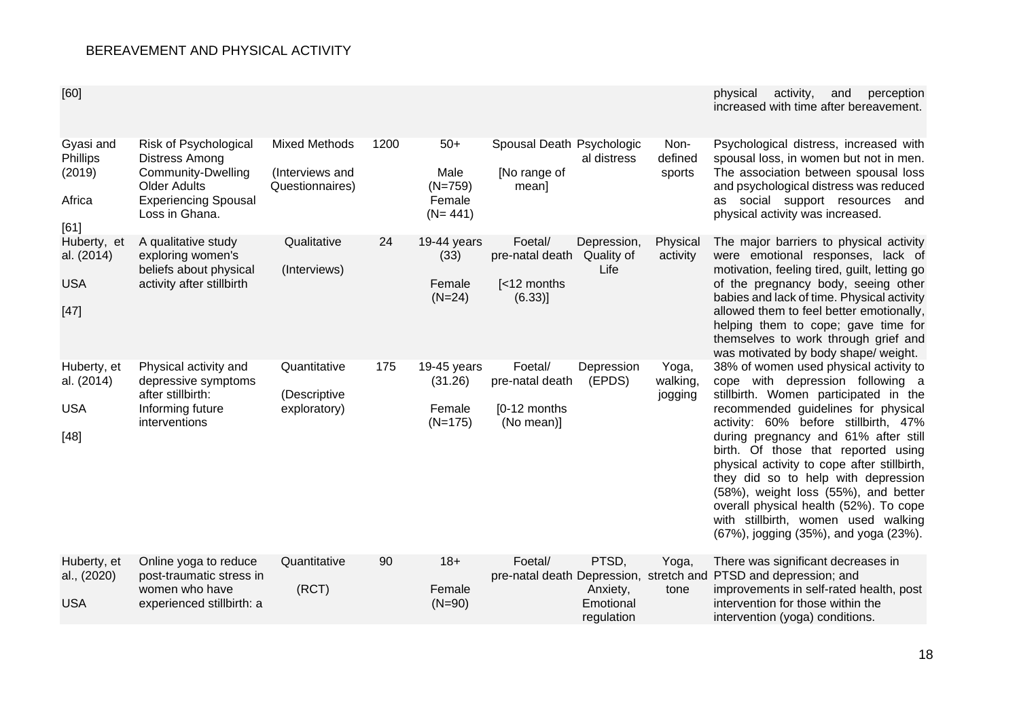[60] physical activity, and perception increased with time after bereavement.

| Gyasi and<br>Phillips<br>(2019)<br>Africa<br>[61] | Risk of Psychological<br>Distress Among<br><b>Community-Dwelling</b><br><b>Older Adults</b><br><b>Experiencing Spousal</b><br>Loss in Ghana. | <b>Mixed Methods</b><br>(Interviews and<br>Questionnaires) | 1200 | $50+$<br>Male<br>$(N=759)$<br>Female<br>$(N = 441)$ | Spousal Death Psychologic<br>[No range of<br>mean]       | al distress                                  | Non-<br>defined<br>sports    | Psychological distress, increased with<br>spousal loss, in women but not in men.<br>The association between spousal loss<br>and psychological distress was reduced<br>as social support resources<br>and<br>physical activity was increased.                                                                                                                                                                                                                                                                                              |
|---------------------------------------------------|----------------------------------------------------------------------------------------------------------------------------------------------|------------------------------------------------------------|------|-----------------------------------------------------|----------------------------------------------------------|----------------------------------------------|------------------------------|-------------------------------------------------------------------------------------------------------------------------------------------------------------------------------------------------------------------------------------------------------------------------------------------------------------------------------------------------------------------------------------------------------------------------------------------------------------------------------------------------------------------------------------------|
| Huberty, et<br>al. (2014)<br><b>USA</b><br>$[47]$ | A qualitative study<br>exploring women's<br>beliefs about physical<br>activity after stillbirth                                              | Qualitative<br>(Interviews)                                | 24   | 19-44 years<br>(33)<br>Female<br>$(N=24)$           | Foetal/<br>pre-natal death<br>[<12 months<br>(6.33)      | Depression,<br>Quality of<br>Life            | Physical<br>activity         | The major barriers to physical activity<br>were emotional responses, lack of<br>motivation, feeling tired, guilt, letting go<br>of the pregnancy body, seeing other<br>babies and lack of time. Physical activity<br>allowed them to feel better emotionally,<br>helping them to cope; gave time for<br>themselves to work through grief and<br>was motivated by body shape/ weight.                                                                                                                                                      |
| Huberty, et<br>al. (2014)<br><b>USA</b><br>$[48]$ | Physical activity and<br>depressive symptoms<br>after stillbirth:<br>Informing future<br>interventions                                       | Quantitative<br>(Descriptive<br>exploratory)               | 175  | $19-45$ years<br>(31.26)<br>Female<br>$(N=175)$     | Foetal/<br>pre-natal death<br>[0-12 months<br>(No mean)] | Depression<br>(EPDS)                         | Yoga,<br>walking,<br>jogging | 38% of women used physical activity to<br>cope with depression following a<br>stillbirth. Women participated in the<br>recommended guidelines for physical<br>activity: 60% before stillbirth, 47%<br>during pregnancy and 61% after still<br>birth. Of those that reported using<br>physical activity to cope after stillbirth,<br>they did so to help with depression<br>(58%), weight loss (55%), and better<br>overall physical health (52%). To cope<br>with stillbirth, women used walking<br>(67%), jogging (35%), and yoga (23%). |
| Huberty, et<br>al., (2020)<br><b>USA</b>          | Online yoga to reduce<br>post-traumatic stress in<br>women who have<br>experienced stillbirth: a                                             | Quantitative<br>(RCT)                                      | 90   | $18+$<br>Female<br>$(N=90)$                         | Foetal/                                                  | PTSD,<br>Anxiety,<br>Emotional<br>regulation | Yoga,<br>tone                | There was significant decreases in<br>pre-natal death Depression, stretch and PTSD and depression; and<br>improvements in self-rated health, post<br>intervention for those within the<br>intervention (yoga) conditions.                                                                                                                                                                                                                                                                                                                 |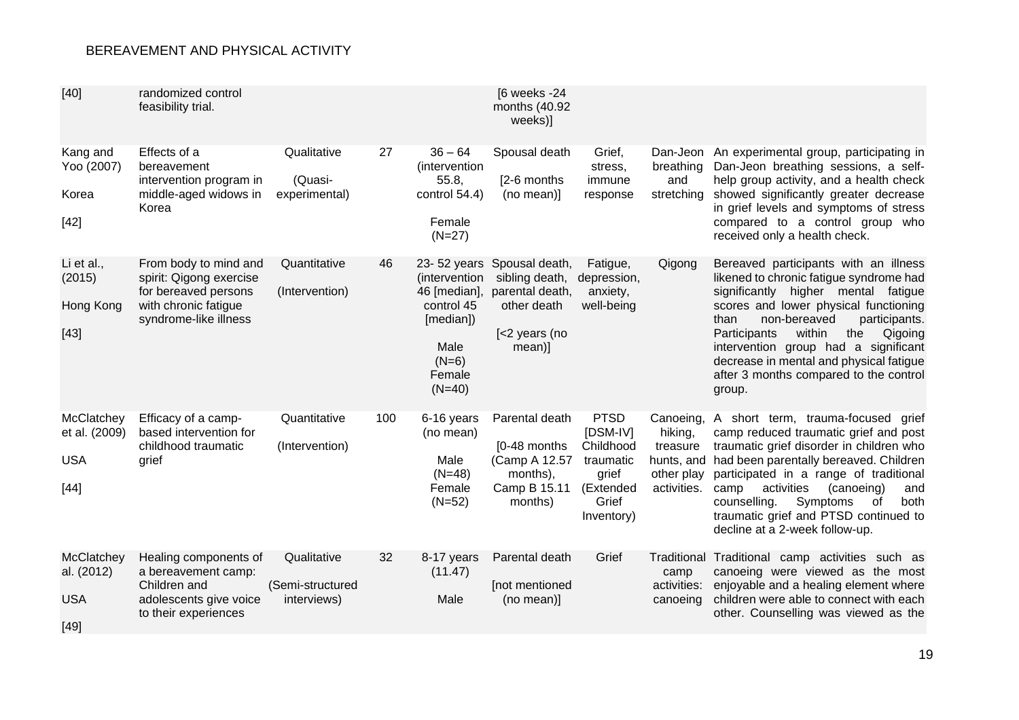| $[40]$                                              | randomized control<br>feasibility trial.                                                                                  |                                                |     |                                                                                                                   | [6 weeks -24<br>months (40.92<br>weeks)]                                                      |                                                                                                |                                                                             |                                                                                                                                                                                                                                                                                                                                                                                              |
|-----------------------------------------------------|---------------------------------------------------------------------------------------------------------------------------|------------------------------------------------|-----|-------------------------------------------------------------------------------------------------------------------|-----------------------------------------------------------------------------------------------|------------------------------------------------------------------------------------------------|-----------------------------------------------------------------------------|----------------------------------------------------------------------------------------------------------------------------------------------------------------------------------------------------------------------------------------------------------------------------------------------------------------------------------------------------------------------------------------------|
| Kang and<br>Yoo (2007)<br>Korea<br>$[42]$           | Effects of a<br>bereavement<br>intervention program in<br>middle-aged widows in<br>Korea                                  | Qualitative<br>(Quasi-<br>experimental)        | 27  | $36 - 64$<br>(intervention<br>55.8,<br>control 54.4)<br>Female<br>$(N=27)$                                        | Spousal death<br>[2-6 months]<br>(no mean)]                                                   | Grief,<br>stress,<br>immune<br>response                                                        | breathing<br>and<br>stretching                                              | Dan-Jeon An experimental group, participating in<br>Dan-Jeon breathing sessions, a self-<br>help group activity, and a health check<br>showed significantly greater decrease<br>in grief levels and symptoms of stress<br>compared to a control group who<br>received only a health check.                                                                                                   |
| Li et al.,<br>(2015)<br>Hong Kong<br>$[43]$         | From body to mind and<br>spirit: Qigong exercise<br>for bereaved persons<br>with chronic fatigue<br>syndrome-like illness | Quantitative<br>(Intervention)                 | 46  | 23-52 years<br>(intervention)<br>46 [median],<br>control 45<br>[median])<br>Male<br>$(N=6)$<br>Female<br>$(N=40)$ | Spousal death,<br>sibling death,<br>parental death,<br>other death<br>[<2 years (no<br>mean)] | Fatigue,<br>depression,<br>anxiety,<br>well-being                                              | Qigong                                                                      | Bereaved participants with an illness<br>likened to chronic fatigue syndrome had<br>significantly higher mental fatigue<br>scores and lower physical functioning<br>non-bereaved<br>participants.<br>than<br>within<br>Participants<br>the<br>Qigoing<br>intervention group had a significant<br>decrease in mental and physical fatigue<br>after 3 months compared to the control<br>group. |
| McClatchey<br>et al. (2009)<br><b>USA</b><br>$[44]$ | Efficacy of a camp-<br>based intervention for<br>childhood traumatic<br>grief                                             | Quantitative<br>(Intervention)                 | 100 | 6-16 years<br>(no mean)<br>Male<br>$(N=48)$<br>Female<br>$(N=52)$                                                 | Parental death<br>[0-48 months<br>(Camp A 12.57<br>months),<br>Camp B 15.11<br>months)        | <b>PTSD</b><br>[DSM-IV]<br>Childhood<br>traumatic<br>grief<br>(Extended<br>Grief<br>Inventory) | Canoeing,<br>hiking,<br>treasure<br>hunts, and<br>other play<br>activities. | A short term, trauma-focused<br>grief<br>camp reduced traumatic grief and post<br>traumatic grief disorder in children who<br>had been parentally bereaved. Children<br>participated in a range of traditional<br>activities<br>(canoeing)<br>camp<br>and<br>counselling.<br>Symptoms<br>of<br>both<br>traumatic grief and PTSD continued to<br>decline at a 2-week follow-up.               |
| McClatchey<br>al. (2012)<br><b>USA</b><br>[49]      | Healing components of<br>a bereavement camp:<br>Children and<br>adolescents give voice<br>to their experiences            | Qualitative<br>(Semi-structured<br>interviews) | 32  | 8-17 years<br>(11.47)<br>Male                                                                                     | Parental death<br>[not mentioned<br>(no mean)]                                                | Grief                                                                                          | Traditional<br>camp<br>activities:<br>canoeing                              | Traditional camp activities such as<br>canoeing were viewed as the most<br>enjoyable and a healing element where<br>children were able to connect with each<br>other. Counselling was viewed as the                                                                                                                                                                                          |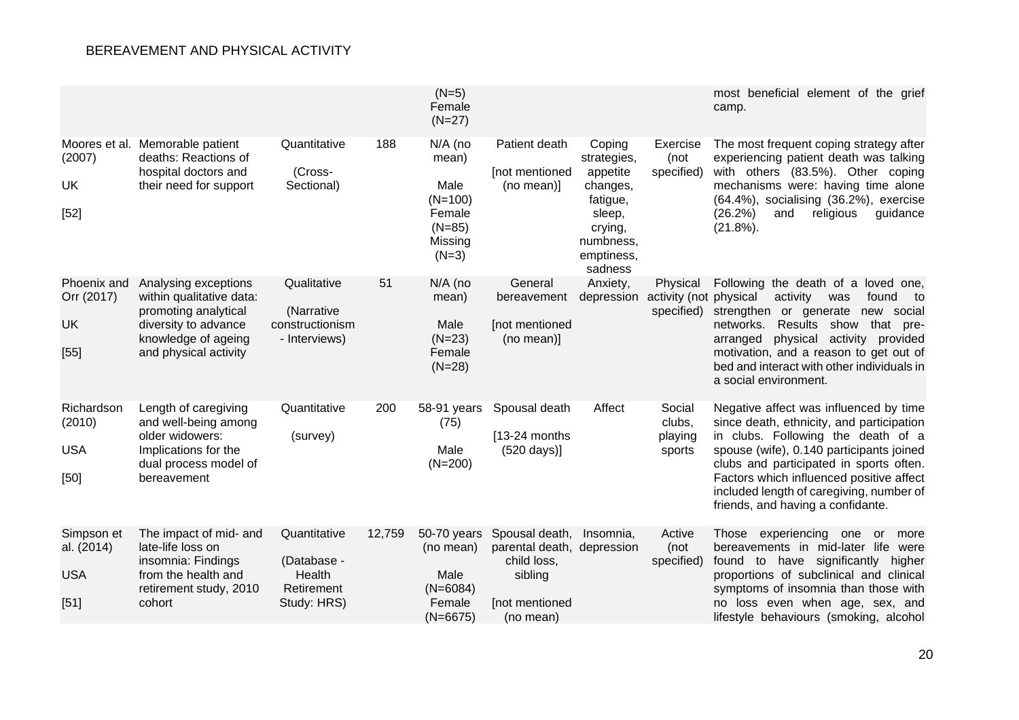|                                                  |                                                                                                                                                  |                                                                    |        | $(N=5)$<br>Female<br>$(N=27)$                                                     |                                                                                                       |                                                                                                                      |                                                  | most beneficial element of the grief<br>camp.                                                                                                                                                                                                                                                                                                 |
|--------------------------------------------------|--------------------------------------------------------------------------------------------------------------------------------------------------|--------------------------------------------------------------------|--------|-----------------------------------------------------------------------------------|-------------------------------------------------------------------------------------------------------|----------------------------------------------------------------------------------------------------------------------|--------------------------------------------------|-----------------------------------------------------------------------------------------------------------------------------------------------------------------------------------------------------------------------------------------------------------------------------------------------------------------------------------------------|
| (2007)<br>UK<br>$[52]$                           | Moores et al. Memorable patient<br>deaths: Reactions of<br>hospital doctors and<br>their need for support                                        | Quantitative<br>(Cross-<br>Sectional)                              | 188    | N/A (no<br>mean)<br>Male<br>$(N=100)$<br>Female<br>$(N=85)$<br>Missing<br>$(N=3)$ | Patient death<br>[not mentioned<br>(no mean)]                                                         | Coping<br>strategies,<br>appetite<br>changes,<br>fatigue,<br>sleep,<br>crying,<br>numbness,<br>emptiness,<br>sadness | Exercise<br>(not<br>specified)                   | The most frequent coping strategy after<br>experiencing patient death was talking<br>with others (83.5%). Other coping<br>mechanisms were: having time alone<br>(64.4%), socialising (36.2%), exercise<br>(26.2%)<br>and<br>religious<br>guidance<br>$(21.8\%)$ .                                                                             |
| Phoenix and<br>Orr (2017)<br>UK<br>[55]          | Analysing exceptions<br>within qualitative data:<br>promoting analytical<br>diversity to advance<br>knowledge of ageing<br>and physical activity | Qualitative<br>(Narrative<br>constructionism<br>- Interviews)      | 51     | N/A (no<br>mean)<br>Male<br>$(N=23)$<br>Female<br>$(N=28)$                        | General<br>bereavement<br>[not mentioned<br>(no mean)]                                                | Anxiety,<br>depression                                                                                               | Physical<br>activity (not physical<br>specified) | Following the death of a loved one,<br>activity<br>was<br>found<br>to<br>strengthen or generate new social<br>networks.<br>Results show that pre-<br>arranged<br>physical activity provided<br>motivation, and a reason to get out of<br>bed and interact with other individuals in<br>a social environment.                                  |
| Richardson<br>(2010)<br><b>USA</b><br>[50]       | Length of caregiving<br>and well-being among<br>older widowers:<br>Implications for the<br>dual process model of<br>bereavement                  | Quantitative<br>(survey)                                           | 200    | 58-91 years<br>(75)<br>Male<br>$(N=200)$                                          | Spousal death<br>$[13-24$ months<br>$(520 \text{ days})$                                              | Affect                                                                                                               | Social<br>clubs,<br>playing<br>sports            | Negative affect was influenced by time<br>since death, ethnicity, and participation<br>in clubs. Following the death of a<br>spouse (wife), 0.140 participants joined<br>clubs and participated in sports often.<br>Factors which influenced positive affect<br>included length of caregiving, number of<br>friends, and having a confidante. |
| Simpson et<br>al. (2014)<br><b>USA</b><br>$[51]$ | The impact of mid- and<br>late-life loss on<br>insomnia: Findings<br>from the health and<br>retirement study, 2010<br>cohort                     | Quantitative<br>(Database -<br>Health<br>Retirement<br>Study: HRS) | 12,759 | 50-70 years<br>(no mean)<br>Male<br>$(N=6084)$<br>Female<br>$(N=6675)$            | Spousal death,<br>parental death, depression<br>child loss,<br>sibling<br>[not mentioned<br>(no mean) | Insomnia,                                                                                                            | Active<br>(not<br>specified)                     | Those experiencing<br>one<br>more<br>or<br>bereavements in mid-later life<br>were<br>found to have significantly higher<br>proportions of subclinical and clinical<br>symptoms of insomnia than those with<br>no loss even when age, sex, and<br>lifestyle behaviours (smoking, alcohol                                                       |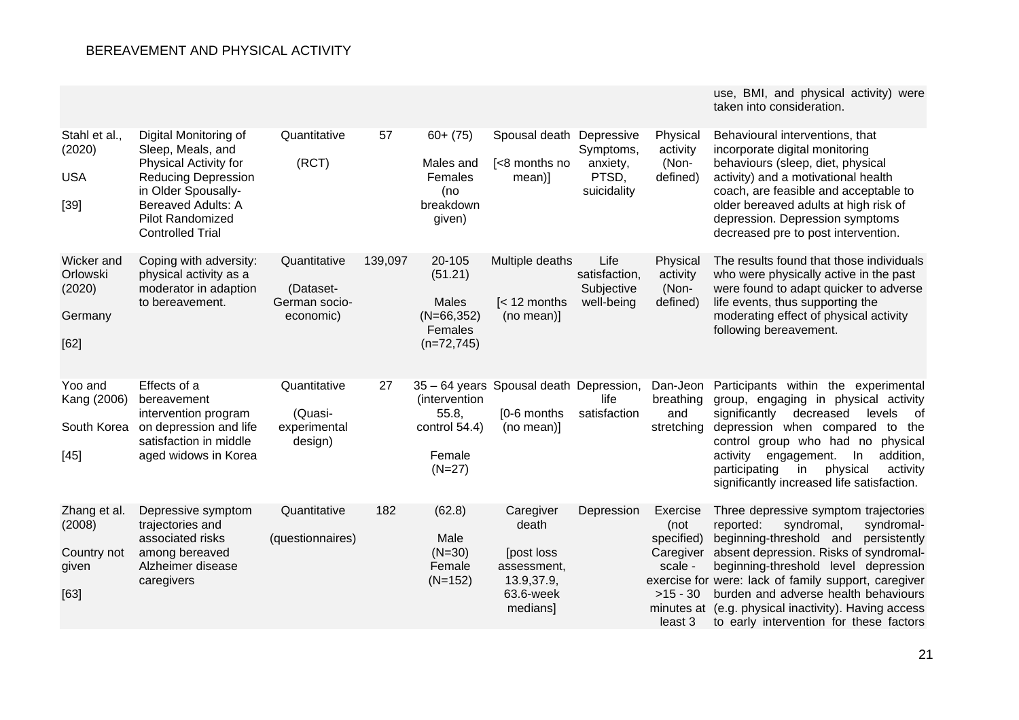|                                                        |                                                                                                                                                                                                             |                                                         |         |                                                                         |                                                                                         |                                                   |                                                                                 | use, BMI, and physical activity) were<br>taken into consideration.                                                                                                                                                                                                                                                                                                                                             |
|--------------------------------------------------------|-------------------------------------------------------------------------------------------------------------------------------------------------------------------------------------------------------------|---------------------------------------------------------|---------|-------------------------------------------------------------------------|-----------------------------------------------------------------------------------------|---------------------------------------------------|---------------------------------------------------------------------------------|----------------------------------------------------------------------------------------------------------------------------------------------------------------------------------------------------------------------------------------------------------------------------------------------------------------------------------------------------------------------------------------------------------------|
| Stahl et al.,<br>(2020)<br><b>USA</b><br>$[39]$        | Digital Monitoring of<br>Sleep, Meals, and<br>Physical Activity for<br><b>Reducing Depression</b><br>in Older Spousally-<br><b>Bereaved Adults: A</b><br><b>Pilot Randomized</b><br><b>Controlled Trial</b> | Quantitative<br>(RCT)                                   | 57      | $60 + (75)$<br>Males and<br>Females<br>(no<br>breakdown<br>given)       | Spousal death Depressive<br>[<8 months no<br>mean)]                                     | Symptoms,<br>anxiety,<br>PTSD,<br>suicidality     | Physical<br>activity<br>(Non-<br>defined)                                       | Behavioural interventions, that<br>incorporate digital monitoring<br>behaviours (sleep, diet, physical<br>activity) and a motivational health<br>coach, are feasible and acceptable to<br>older bereaved adults at high risk of<br>depression. Depression symptoms<br>decreased pre to post intervention.                                                                                                      |
| Wicker and<br>Orlowski<br>(2020)<br>Germany<br>[62]    | Coping with adversity:<br>physical activity as a<br>moderator in adaption<br>to bereavement.                                                                                                                | Quantitative<br>(Dataset-<br>German socio-<br>economic) | 139,097 | 20-105<br>(51.21)<br>Males<br>$(N=66, 352)$<br>Females<br>$(n=72, 745)$ | Multiple deaths<br>$\leq 12$ months<br>(no mean)]                                       | Life<br>satisfaction,<br>Subjective<br>well-being | Physical<br>activity<br>(Non-<br>defined)                                       | The results found that those individuals<br>who were physically active in the past<br>were found to adapt quicker to adverse<br>life events, thus supporting the<br>moderating effect of physical activity<br>following bereavement.                                                                                                                                                                           |
| Yoo and<br>Kang (2006)<br>South Korea<br>$[45]$        | Effects of a<br>bereavement<br>intervention program<br>on depression and life<br>satisfaction in middle<br>aged widows in Korea                                                                             | Quantitative<br>(Quasi-<br>experimental<br>design)      | 27      | (intervention<br>55.8,<br>control 54.4)<br>Female<br>$(N=27)$           | 35 - 64 years Spousal death Depression,<br>[0-6 months<br>(no mean)]                    | life<br>satisfaction                              | Dan-Jeon<br>breathing<br>and<br>stretching                                      | Participants within the experimental<br>group, engaging in physical activity<br>significantly<br>decreased<br>levels<br>of<br>depression when compared<br>to the<br>control group who had no<br>physical<br>addition,<br>activity<br>engagement.<br>In<br>physical<br>participating<br>in<br>activity<br>significantly increased life satisfaction.                                                            |
| Zhang et al.<br>(2008)<br>Country not<br>given<br>[63] | Depressive symptom<br>trajectories and<br>associated risks<br>among bereaved<br>Alzheimer disease<br>caregivers                                                                                             | Quantitative<br>(questionnaires)                        | 182     | (62.8)<br>Male<br>$(N=30)$<br>Female<br>$(N=152)$                       | Caregiver<br>death<br>[post loss]<br>assessment,<br>13.9,37.9,<br>63.6-week<br>medians] | Depression                                        | Exercise<br>(not<br>specified)<br>Caregiver<br>scale -<br>$>15 - 30$<br>least 3 | Three depressive symptom trajectories<br>reported:<br>syndromal,<br>syndromal-<br>beginning-threshold and<br>persistently<br>absent depression. Risks of syndromal-<br>beginning-threshold level depression<br>exercise for were: lack of family support, caregiver<br>burden and adverse health behaviours<br>minutes at (e.g. physical inactivity). Having access<br>to early intervention for these factors |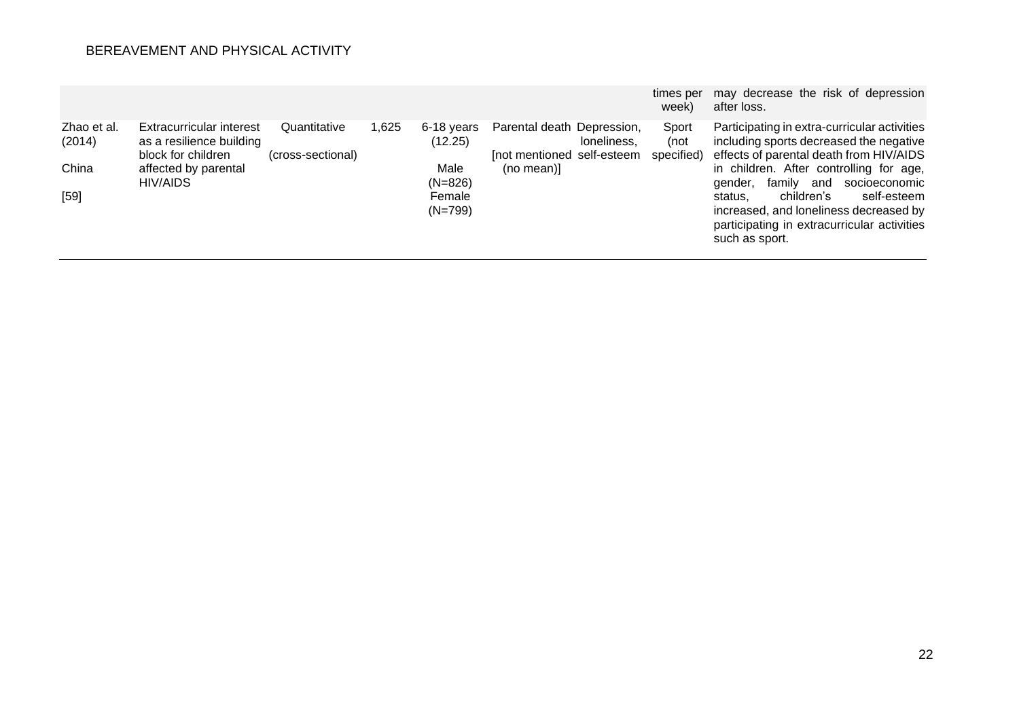|                       |                                                      |                   |       |                       |                                           | times per<br>week) | may decrease the risk of depression<br>after loss.                                                                                              |
|-----------------------|------------------------------------------------------|-------------------|-------|-----------------------|-------------------------------------------|--------------------|-------------------------------------------------------------------------------------------------------------------------------------------------|
| Zhao et al.<br>(2014) | Extracurricular interest<br>as a resilience building | Quantitative      | 1,625 | 6-18 vears<br>(12.25) | Parental death Depression,<br>loneliness, | Sport<br>(not      | Participating in extra-curricular activities<br>including sports decreased the negative                                                         |
|                       | block for children                                   | (cross-sectional) |       |                       | [not mentioned self-esteem                | specified)         | effects of parental death from HIV/AIDS                                                                                                         |
| China                 | affected by parental                                 |                   |       | Male                  | (no mean)]                                |                    | in children. After controlling for age,                                                                                                         |
|                       | HIV/AIDS                                             |                   |       | $(N=826)$             |                                           |                    | familv<br>and<br>socioeconomic<br>gender,                                                                                                       |
| $[59]$                |                                                      |                   |       | Female<br>$(N=799)$   |                                           |                    | children's<br>self-esteem<br>status.<br>increased, and loneliness decreased by<br>participating in extracurricular activities<br>such as sport. |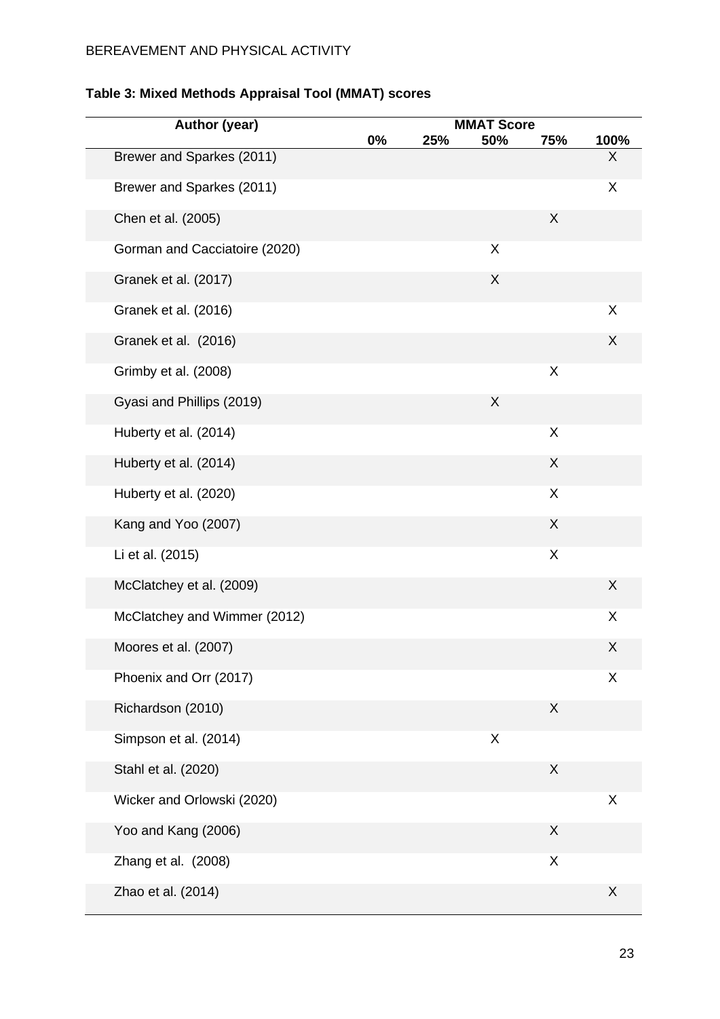| Author (year)                 |       |     |                          |     |      |
|-------------------------------|-------|-----|--------------------------|-----|------|
|                               | $0\%$ | 25% | <b>MMAT Score</b><br>50% | 75% | 100% |
| Brewer and Sparkes (2011)     |       |     |                          |     | X    |
| Brewer and Sparkes (2011)     |       |     |                          |     | X    |
| Chen et al. (2005)            |       |     |                          | X   |      |
| Gorman and Cacciatoire (2020) |       |     | X                        |     |      |
| Granek et al. (2017)          |       |     | X                        |     |      |
| Granek et al. (2016)          |       |     |                          |     | X    |
| Granek et al. (2016)          |       |     |                          |     | X    |
| Grimby et al. (2008)          |       |     |                          | X   |      |
| Gyasi and Phillips (2019)     |       |     | X                        |     |      |
| Huberty et al. (2014)         |       |     |                          | X   |      |
| Huberty et al. (2014)         |       |     |                          | X   |      |
| Huberty et al. (2020)         |       |     |                          | X   |      |
| Kang and Yoo (2007)           |       |     |                          | X   |      |
| Li et al. (2015)              |       |     |                          | X   |      |
| McClatchey et al. (2009)      |       |     |                          |     | X    |
| McClatchey and Wimmer (2012)  |       |     |                          |     | X    |
| Moores et al. (2007)          |       |     |                          |     | X    |
| Phoenix and Orr (2017)        |       |     |                          |     | X    |
| Richardson (2010)             |       |     |                          | X   |      |
| Simpson et al. (2014)         |       |     | X                        |     |      |
| Stahl et al. (2020)           |       |     |                          | X   |      |
| Wicker and Orlowski (2020)    |       |     |                          |     | X    |
| Yoo and Kang (2006)           |       |     |                          | X   |      |
| Zhang et al. (2008)           |       |     |                          | X   |      |
| Zhao et al. (2014)            |       |     |                          |     | X    |

# **Table 3: Mixed Methods Appraisal Tool (MMAT) scores**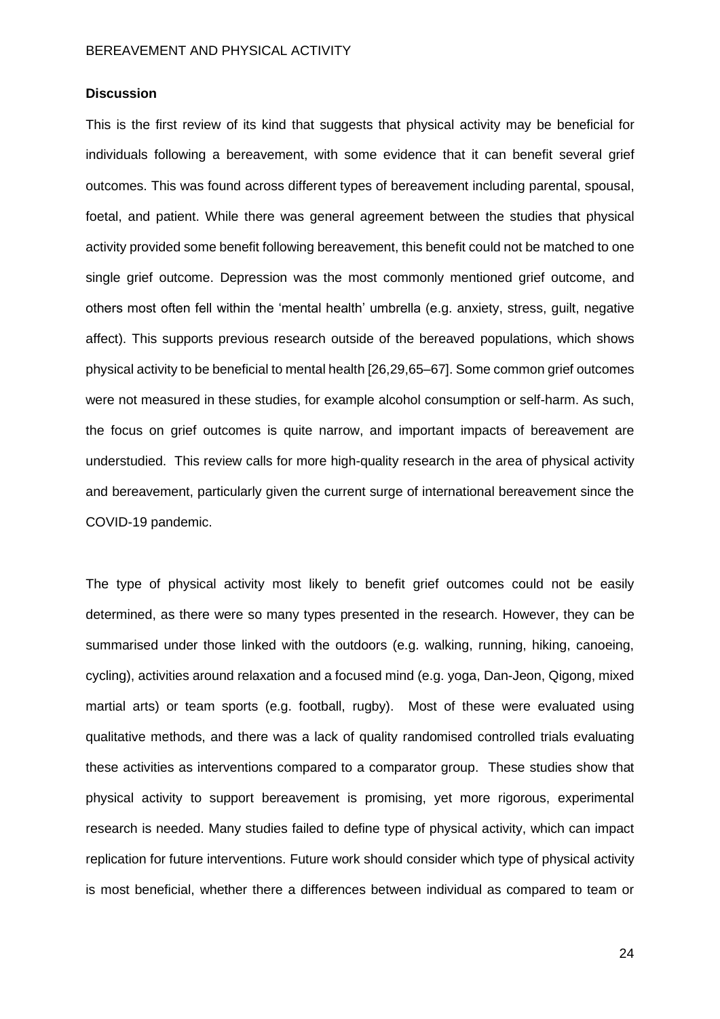# **Discussion**

This is the first review of its kind that suggests that physical activity may be beneficial for individuals following a bereavement, with some evidence that it can benefit several grief outcomes. This was found across different types of bereavement including parental, spousal, foetal, and patient. While there was general agreement between the studies that physical activity provided some benefit following bereavement, this benefit could not be matched to one single grief outcome. Depression was the most commonly mentioned grief outcome, and others most often fell within the 'mental health' umbrella (e.g. anxiety, stress, guilt, negative affect). This supports previous research outside of the bereaved populations, which shows physical activity to be beneficial to mental health [26,29,65–67]. Some common grief outcomes were not measured in these studies, for example alcohol consumption or self-harm. As such, the focus on grief outcomes is quite narrow, and important impacts of bereavement are understudied. This review calls for more high-quality research in the area of physical activity and bereavement, particularly given the current surge of international bereavement since the COVID-19 pandemic.

The type of physical activity most likely to benefit grief outcomes could not be easily determined, as there were so many types presented in the research. However, they can be summarised under those linked with the outdoors (e.g. walking, running, hiking, canoeing, cycling), activities around relaxation and a focused mind (e.g. yoga, Dan-Jeon, Qigong, mixed martial arts) or team sports (e.g. football, rugby). Most of these were evaluated using qualitative methods, and there was a lack of quality randomised controlled trials evaluating these activities as interventions compared to a comparator group. These studies show that physical activity to support bereavement is promising, yet more rigorous, experimental research is needed. Many studies failed to define type of physical activity, which can impact replication for future interventions. Future work should consider which type of physical activity is most beneficial, whether there a differences between individual as compared to team or

24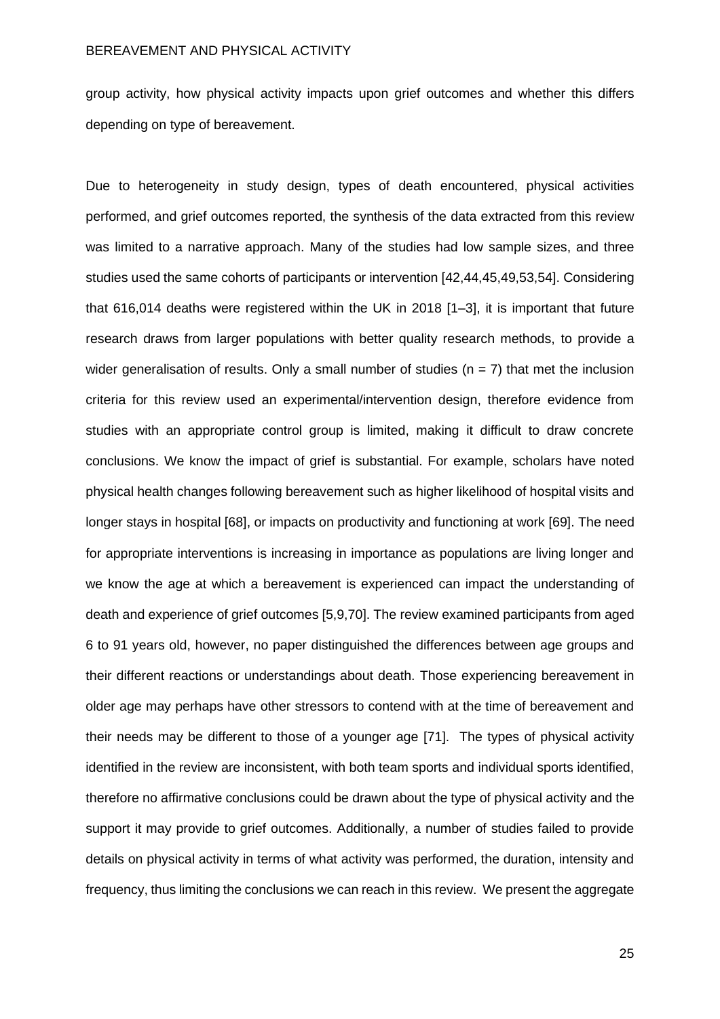group activity, how physical activity impacts upon grief outcomes and whether this differs depending on type of bereavement.

Due to heterogeneity in study design, types of death encountered, physical activities performed, and grief outcomes reported, the synthesis of the data extracted from this review was limited to a narrative approach. Many of the studies had low sample sizes, and three studies used the same cohorts of participants or intervention [42,44,45,49,53,54]. Considering that 616,014 deaths were registered within the UK in 2018 [1–3], it is important that future research draws from larger populations with better quality research methods, to provide a wider generalisation of results. Only a small number of studies ( $n = 7$ ) that met the inclusion criteria for this review used an experimental/intervention design, therefore evidence from studies with an appropriate control group is limited, making it difficult to draw concrete conclusions. We know the impact of grief is substantial. For example, scholars have noted physical health changes following bereavement such as higher likelihood of hospital visits and longer stays in hospital [68], or impacts on productivity and functioning at work [69]. The need for appropriate interventions is increasing in importance as populations are living longer and we know the age at which a bereavement is experienced can impact the understanding of death and experience of grief outcomes [5,9,70]. The review examined participants from aged 6 to 91 years old, however, no paper distinguished the differences between age groups and their different reactions or understandings about death. Those experiencing bereavement in older age may perhaps have other stressors to contend with at the time of bereavement and their needs may be different to those of a younger age [71]. The types of physical activity identified in the review are inconsistent, with both team sports and individual sports identified, therefore no affirmative conclusions could be drawn about the type of physical activity and the support it may provide to grief outcomes. Additionally, a number of studies failed to provide details on physical activity in terms of what activity was performed, the duration, intensity and frequency, thus limiting the conclusions we can reach in this review. We present the aggregate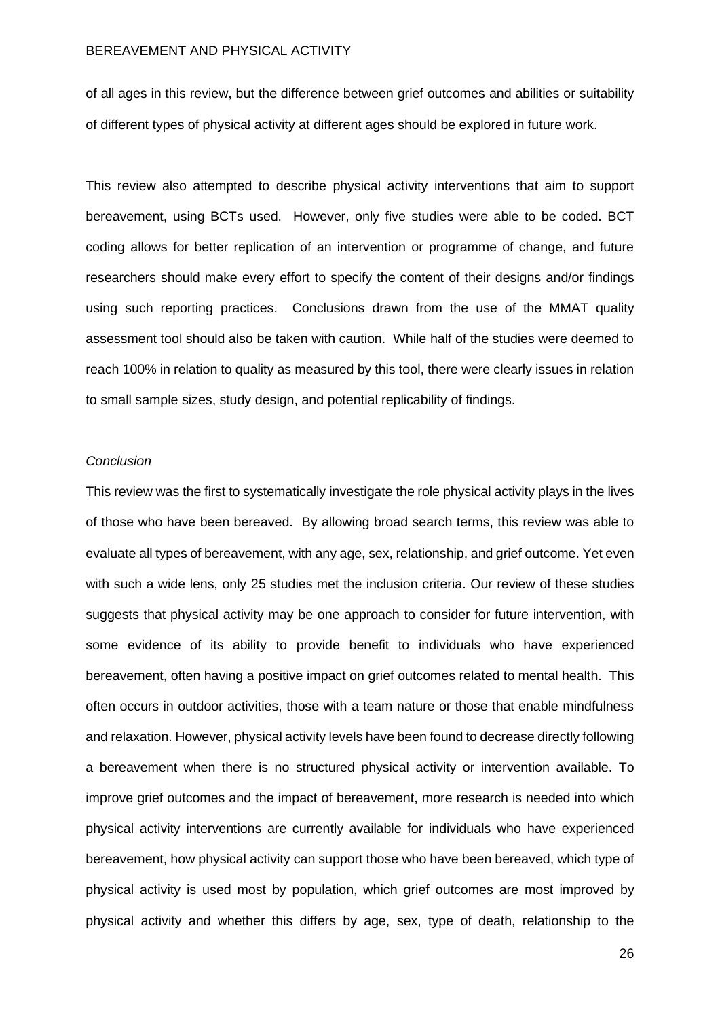of all ages in this review, but the difference between grief outcomes and abilities or suitability of different types of physical activity at different ages should be explored in future work.

This review also attempted to describe physical activity interventions that aim to support bereavement, using BCTs used. However, only five studies were able to be coded. BCT coding allows for better replication of an intervention or programme of change, and future researchers should make every effort to specify the content of their designs and/or findings using such reporting practices. Conclusions drawn from the use of the MMAT quality assessment tool should also be taken with caution. While half of the studies were deemed to reach 100% in relation to quality as measured by this tool, there were clearly issues in relation to small sample sizes, study design, and potential replicability of findings.

### *Conclusion*

This review was the first to systematically investigate the role physical activity plays in the lives of those who have been bereaved. By allowing broad search terms, this review was able to evaluate all types of bereavement, with any age, sex, relationship, and grief outcome. Yet even with such a wide lens, only 25 studies met the inclusion criteria. Our review of these studies suggests that physical activity may be one approach to consider for future intervention, with some evidence of its ability to provide benefit to individuals who have experienced bereavement, often having a positive impact on grief outcomes related to mental health. This often occurs in outdoor activities, those with a team nature or those that enable mindfulness and relaxation. However, physical activity levels have been found to decrease directly following a bereavement when there is no structured physical activity or intervention available. To improve grief outcomes and the impact of bereavement, more research is needed into which physical activity interventions are currently available for individuals who have experienced bereavement, how physical activity can support those who have been bereaved, which type of physical activity is used most by population, which grief outcomes are most improved by physical activity and whether this differs by age, sex, type of death, relationship to the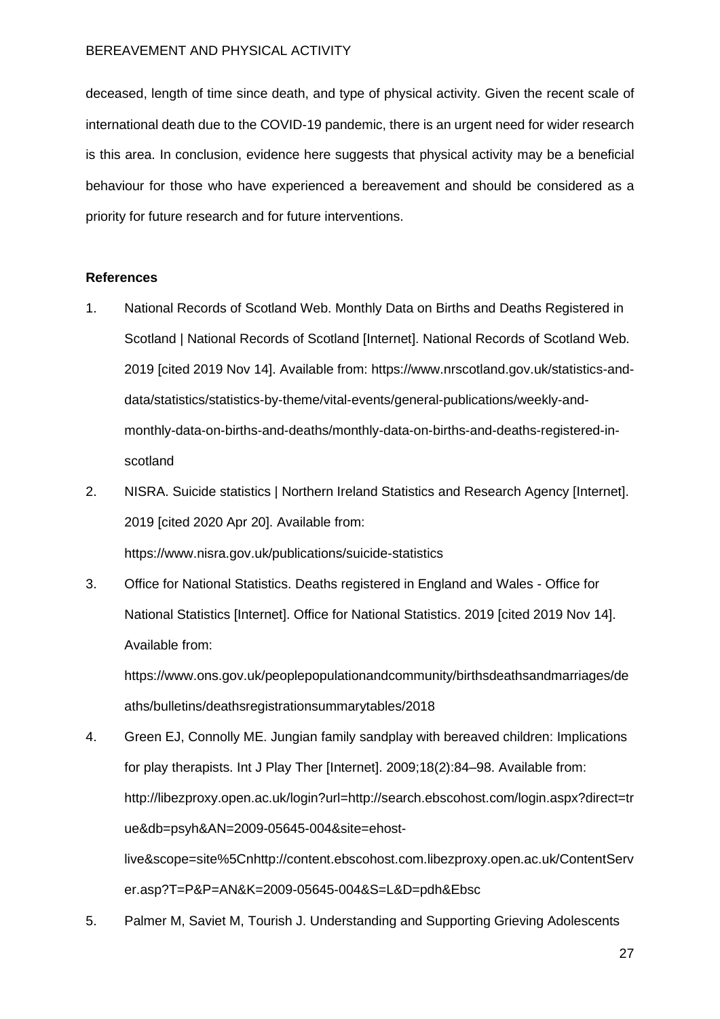deceased, length of time since death, and type of physical activity. Given the recent scale of international death due to the COVID-19 pandemic, there is an urgent need for wider research is this area. In conclusion, evidence here suggests that physical activity may be a beneficial behaviour for those who have experienced a bereavement and should be considered as a priority for future research and for future interventions.

## **References**

- 1. National Records of Scotland Web. Monthly Data on Births and Deaths Registered in Scotland | National Records of Scotland [Internet]. National Records of Scotland Web. 2019 [cited 2019 Nov 14]. Available from: https://www.nrscotland.gov.uk/statistics-anddata/statistics/statistics-by-theme/vital-events/general-publications/weekly-andmonthly-data-on-births-and-deaths/monthly-data-on-births-and-deaths-registered-inscotland
- 2. NISRA. Suicide statistics | Northern Ireland Statistics and Research Agency [Internet]. 2019 [cited 2020 Apr 20]. Available from:

https://www.nisra.gov.uk/publications/suicide-statistics

3. Office for National Statistics. Deaths registered in England and Wales - Office for National Statistics [Internet]. Office for National Statistics. 2019 [cited 2019 Nov 14]. Available from:

https://www.ons.gov.uk/peoplepopulationandcommunity/birthsdeathsandmarriages/de aths/bulletins/deathsregistrationsummarytables/2018

- 4. Green EJ, Connolly ME. Jungian family sandplay with bereaved children: Implications for play therapists. Int J Play Ther [Internet]. 2009;18(2):84–98. Available from: http://libezproxy.open.ac.uk/login?url=http://search.ebscohost.com/login.aspx?direct=tr ue&db=psyh&AN=2009-05645-004&site=ehostlive&scope=site%5Cnhttp://content.ebscohost.com.libezproxy.open.ac.uk/ContentServ er.asp?T=P&P=AN&K=2009-05645-004&S=L&D=pdh&Ebsc
- 5. Palmer M, Saviet M, Tourish J. Understanding and Supporting Grieving Adolescents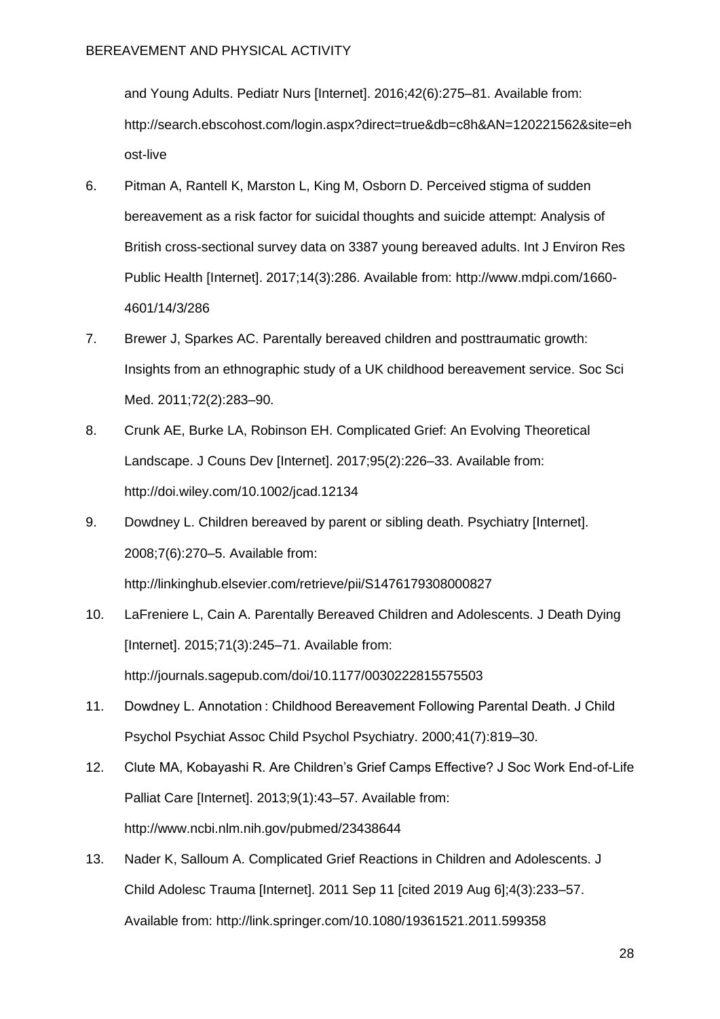and Young Adults. Pediatr Nurs [Internet]. 2016;42(6):275–81. Available from: http://search.ebscohost.com/login.aspx?direct=true&db=c8h&AN=120221562&site=eh ost-live

- 6. Pitman A, Rantell K, Marston L, King M, Osborn D. Perceived stigma of sudden bereavement as a risk factor for suicidal thoughts and suicide attempt: Analysis of British cross-sectional survey data on 3387 young bereaved adults. Int J Environ Res Public Health [Internet]. 2017;14(3):286. Available from: http://www.mdpi.com/1660- 4601/14/3/286
- 7. Brewer J, Sparkes AC. Parentally bereaved children and posttraumatic growth: Insights from an ethnographic study of a UK childhood bereavement service. Soc Sci Med. 2011;72(2):283–90.
- 8. Crunk AE, Burke LA, Robinson EH. Complicated Grief: An Evolving Theoretical Landscape. J Couns Dev [Internet]. 2017;95(2):226–33. Available from: http://doi.wiley.com/10.1002/jcad.12134
- 9. Dowdney L. Children bereaved by parent or sibling death. Psychiatry [Internet]. 2008;7(6):270–5. Available from: http://linkinghub.elsevier.com/retrieve/pii/S1476179308000827
- 10. LaFreniere L, Cain A. Parentally Bereaved Children and Adolescents. J Death Dying [Internet]. 2015;71(3):245-71. Available from: http://journals.sagepub.com/doi/10.1177/0030222815575503
- 11. Dowdney L. Annotation : Childhood Bereavement Following Parental Death. J Child Psychol Psychiat Assoc Child Psychol Psychiatry. 2000;41(7):819–30.
- 12. Clute MA, Kobayashi R. Are Children's Grief Camps Effective? J Soc Work End-of-Life Palliat Care [Internet]. 2013;9(1):43–57. Available from: http://www.ncbi.nlm.nih.gov/pubmed/23438644
- 13. Nader K, Salloum A. Complicated Grief Reactions in Children and Adolescents. J Child Adolesc Trauma [Internet]. 2011 Sep 11 [cited 2019 Aug 6];4(3):233–57. Available from: http://link.springer.com/10.1080/19361521.2011.599358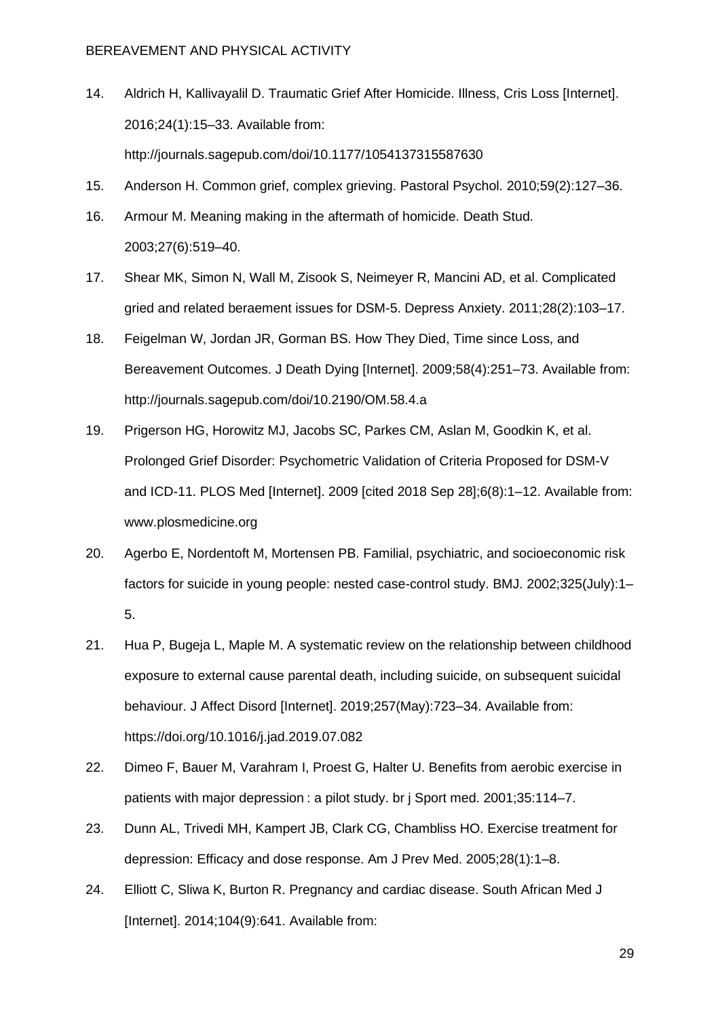- 14. Aldrich H, Kallivayalil D. Traumatic Grief After Homicide. Illness, Cris Loss [Internet]. 2016;24(1):15–33. Available from: http://journals.sagepub.com/doi/10.1177/1054137315587630
- 15. Anderson H. Common grief, complex grieving. Pastoral Psychol. 2010;59(2):127–36.
- 16. Armour M. Meaning making in the aftermath of homicide. Death Stud. 2003;27(6):519–40.
- 17. Shear MK, Simon N, Wall M, Zisook S, Neimeyer R, Mancini AD, et al. Complicated gried and related beraement issues for DSM-5. Depress Anxiety. 2011;28(2):103–17.
- 18. Feigelman W, Jordan JR, Gorman BS. How They Died, Time since Loss, and Bereavement Outcomes. J Death Dying [Internet]. 2009;58(4):251–73. Available from: http://journals.sagepub.com/doi/10.2190/OM.58.4.a
- 19. Prigerson HG, Horowitz MJ, Jacobs SC, Parkes CM, Aslan M, Goodkin K, et al. Prolonged Grief Disorder: Psychometric Validation of Criteria Proposed for DSM-V and ICD-11. PLOS Med [Internet]. 2009 [cited 2018 Sep 28];6(8):1–12. Available from: www.plosmedicine.org
- 20. Agerbo E, Nordentoft M, Mortensen PB. Familial, psychiatric, and socioeconomic risk factors for suicide in young people: nested case-control study. BMJ. 2002;325(July):1– 5.
- 21. Hua P, Bugeja L, Maple M. A systematic review on the relationship between childhood exposure to external cause parental death, including suicide, on subsequent suicidal behaviour. J Affect Disord [Internet]. 2019;257(May):723–34. Available from: https://doi.org/10.1016/j.jad.2019.07.082
- 22. Dimeo F, Bauer M, Varahram I, Proest G, Halter U. Benefits from aerobic exercise in patients with major depression : a pilot study. br j Sport med. 2001;35:114–7.
- 23. Dunn AL, Trivedi MH, Kampert JB, Clark CG, Chambliss HO. Exercise treatment for depression: Efficacy and dose response. Am J Prev Med. 2005;28(1):1–8.
- 24. Elliott C, Sliwa K, Burton R. Pregnancy and cardiac disease. South African Med J [Internet]. 2014;104(9):641. Available from:

29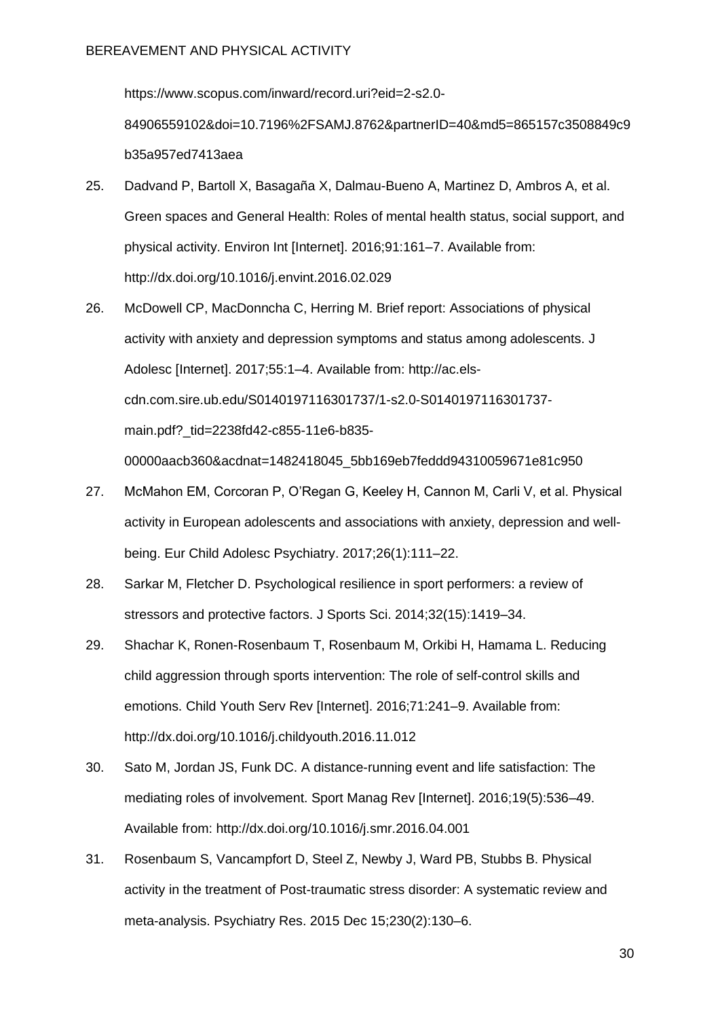https://www.scopus.com/inward/record.uri?eid=2-s2.0- 84906559102&doi=10.7196%2FSAMJ.8762&partnerID=40&md5=865157c3508849c9 b35a957ed7413aea

- 25. Dadvand P, Bartoll X, Basagaña X, Dalmau-Bueno A, Martinez D, Ambros A, et al. Green spaces and General Health: Roles of mental health status, social support, and physical activity. Environ Int [Internet]. 2016;91:161–7. Available from: http://dx.doi.org/10.1016/j.envint.2016.02.029
- 26. McDowell CP, MacDonncha C, Herring M. Brief report: Associations of physical activity with anxiety and depression symptoms and status among adolescents. J Adolesc [Internet]. 2017;55:1–4. Available from: http://ac.elscdn.com.sire.ub.edu/S0140197116301737/1-s2.0-S0140197116301737 main.pdf? tid=2238fd42-c855-11e6-b835-00000aacb360&acdnat=1482418045\_5bb169eb7feddd94310059671e81c950
- 27. McMahon EM, Corcoran P, O'Regan G, Keeley H, Cannon M, Carli V, et al. Physical activity in European adolescents and associations with anxiety, depression and wellbeing. Eur Child Adolesc Psychiatry. 2017;26(1):111–22.
- 28. Sarkar M, Fletcher D. Psychological resilience in sport performers: a review of stressors and protective factors. J Sports Sci. 2014;32(15):1419–34.
- 29. Shachar K, Ronen-Rosenbaum T, Rosenbaum M, Orkibi H, Hamama L. Reducing child aggression through sports intervention: The role of self-control skills and emotions. Child Youth Serv Rev [Internet]. 2016;71:241–9. Available from: http://dx.doi.org/10.1016/j.childyouth.2016.11.012
- 30. Sato M, Jordan JS, Funk DC. A distance-running event and life satisfaction: The mediating roles of involvement. Sport Manag Rev [Internet]. 2016;19(5):536–49. Available from: http://dx.doi.org/10.1016/j.smr.2016.04.001
- 31. Rosenbaum S, Vancampfort D, Steel Z, Newby J, Ward PB, Stubbs B. Physical activity in the treatment of Post-traumatic stress disorder: A systematic review and meta-analysis. Psychiatry Res. 2015 Dec 15;230(2):130–6.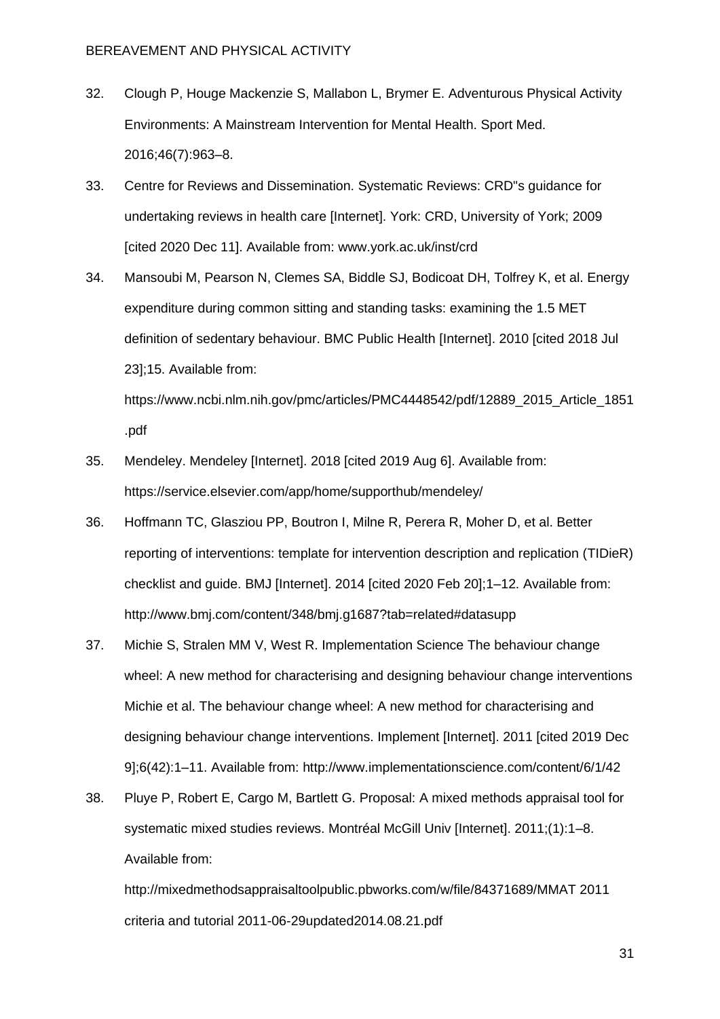- 32. Clough P, Houge Mackenzie S, Mallabon L, Brymer E. Adventurous Physical Activity Environments: A Mainstream Intervention for Mental Health. Sport Med. 2016;46(7):963–8.
- 33. Centre for Reviews and Dissemination. Systematic Reviews: CRD"s guidance for undertaking reviews in health care [Internet]. York: CRD, University of York; 2009 [cited 2020 Dec 11]. Available from: www.york.ac.uk/inst/crd
- 34. Mansoubi M, Pearson N, Clemes SA, Biddle SJ, Bodicoat DH, Tolfrey K, et al. Energy expenditure during common sitting and standing tasks: examining the 1.5 MET definition of sedentary behaviour. BMC Public Health [Internet]. 2010 [cited 2018 Jul 23];15. Available from:

https://www.ncbi.nlm.nih.gov/pmc/articles/PMC4448542/pdf/12889\_2015\_Article\_1851 .pdf

- 35. Mendeley. Mendeley [Internet]. 2018 [cited 2019 Aug 6]. Available from: https://service.elsevier.com/app/home/supporthub/mendeley/
- 36. Hoffmann TC, Glasziou PP, Boutron I, Milne R, Perera R, Moher D, et al. Better reporting of interventions: template for intervention description and replication (TIDieR) checklist and guide. BMJ [Internet]. 2014 [cited 2020 Feb 20];1–12. Available from: http://www.bmj.com/content/348/bmj.g1687?tab=related#datasupp
- 37. Michie S, Stralen MM V, West R. Implementation Science The behaviour change wheel: A new method for characterising and designing behaviour change interventions Michie et al. The behaviour change wheel: A new method for characterising and designing behaviour change interventions. Implement [Internet]. 2011 [cited 2019 Dec 9];6(42):1–11. Available from: http://www.implementationscience.com/content/6/1/42
- 38. Pluye P, Robert E, Cargo M, Bartlett G. Proposal: A mixed methods appraisal tool for systematic mixed studies reviews. Montréal McGill Univ [Internet]. 2011;(1):1–8. Available from:

http://mixedmethodsappraisaltoolpublic.pbworks.com/w/file/84371689/MMAT 2011 criteria and tutorial 2011-06-29updated2014.08.21.pdf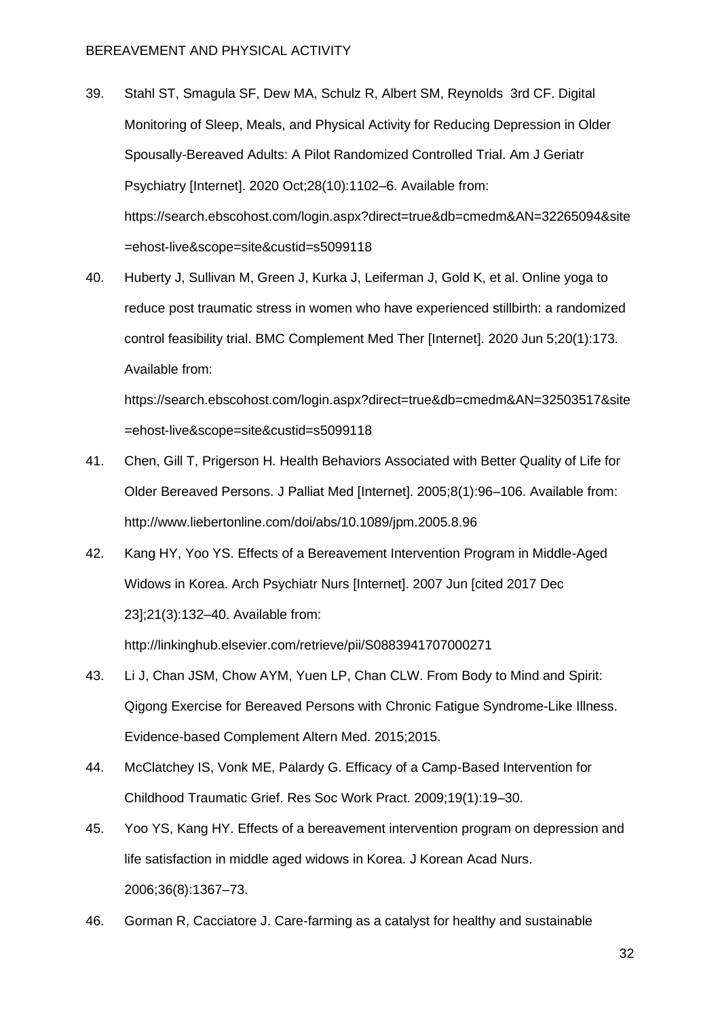- 39. Stahl ST, Smagula SF, Dew MA, Schulz R, Albert SM, Reynolds 3rd CF. Digital Monitoring of Sleep, Meals, and Physical Activity for Reducing Depression in Older Spousally-Bereaved Adults: A Pilot Randomized Controlled Trial. Am J Geriatr Psychiatry [Internet]. 2020 Oct;28(10):1102–6. Available from: https://search.ebscohost.com/login.aspx?direct=true&db=cmedm&AN=32265094&site =ehost-live&scope=site&custid=s5099118
- 40. Huberty J, Sullivan M, Green J, Kurka J, Leiferman J, Gold K, et al. Online yoga to reduce post traumatic stress in women who have experienced stillbirth: a randomized control feasibility trial. BMC Complement Med Ther [Internet]. 2020 Jun 5;20(1):173. Available from:

https://search.ebscohost.com/login.aspx?direct=true&db=cmedm&AN=32503517&site =ehost-live&scope=site&custid=s5099118

- 41. Chen, Gill T, Prigerson H. Health Behaviors Associated with Better Quality of Life for Older Bereaved Persons. J Palliat Med [Internet]. 2005;8(1):96–106. Available from: http://www.liebertonline.com/doi/abs/10.1089/jpm.2005.8.96
- 42. Kang HY, Yoo YS. Effects of a Bereavement Intervention Program in Middle-Aged Widows in Korea. Arch Psychiatr Nurs [Internet]. 2007 Jun [cited 2017 Dec 23];21(3):132–40. Available from: http://linkinghub.elsevier.com/retrieve/pii/S0883941707000271
- 43. Li J, Chan JSM, Chow AYM, Yuen LP, Chan CLW. From Body to Mind and Spirit: Qigong Exercise for Bereaved Persons with Chronic Fatigue Syndrome-Like Illness. Evidence-based Complement Altern Med. 2015;2015.
- 44. McClatchey IS, Vonk ME, Palardy G. Efficacy of a Camp-Based Intervention for Childhood Traumatic Grief. Res Soc Work Pract. 2009;19(1):19–30.
- 45. Yoo YS, Kang HY. Effects of a bereavement intervention program on depression and life satisfaction in middle aged widows in Korea. J Korean Acad Nurs. 2006;36(8):1367–73.
- 46. Gorman R, Cacciatore J. Care-farming as a catalyst for healthy and sustainable

32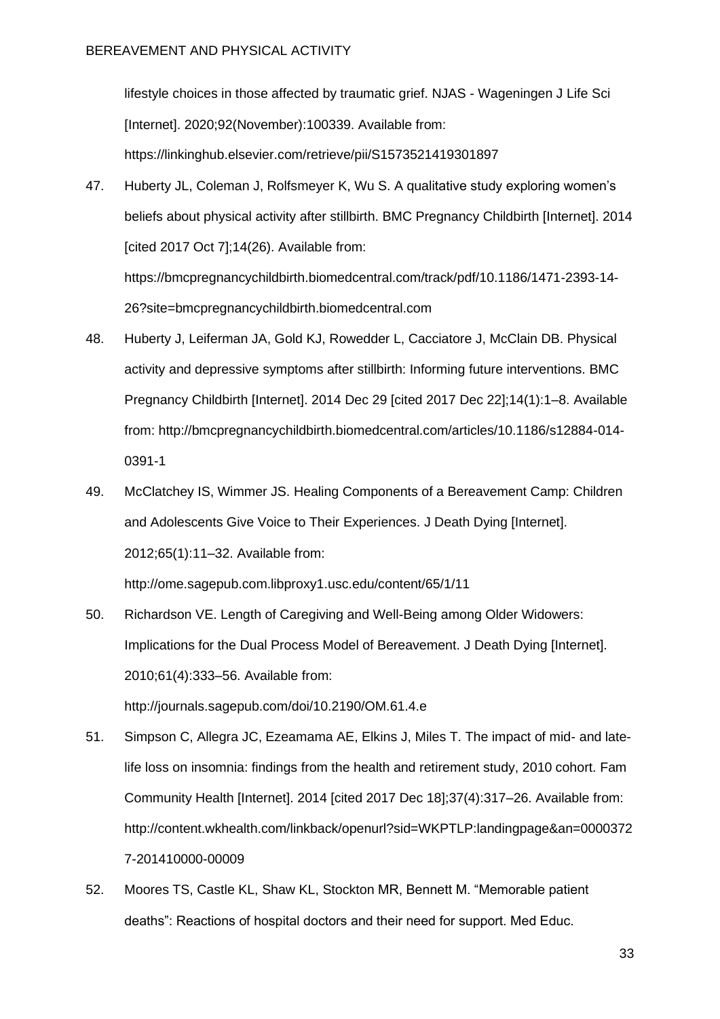lifestyle choices in those affected by traumatic grief. NJAS - Wageningen J Life Sci [Internet]. 2020;92(November):100339. Available from: https://linkinghub.elsevier.com/retrieve/pii/S1573521419301897

47. Huberty JL, Coleman J, Rolfsmeyer K, Wu S. A qualitative study exploring women's beliefs about physical activity after stillbirth. BMC Pregnancy Childbirth [Internet]. 2014 [cited 2017 Oct 7];14(26). Available from: https://bmcpregnancychildbirth.biomedcentral.com/track/pdf/10.1186/1471-2393-14-

26?site=bmcpregnancychildbirth.biomedcentral.com

- 48. Huberty J, Leiferman JA, Gold KJ, Rowedder L, Cacciatore J, McClain DB. Physical activity and depressive symptoms after stillbirth: Informing future interventions. BMC Pregnancy Childbirth [Internet]. 2014 Dec 29 [cited 2017 Dec 22];14(1):1–8. Available from: http://bmcpregnancychildbirth.biomedcentral.com/articles/10.1186/s12884-014- 0391-1
- 49. McClatchey IS, Wimmer JS. Healing Components of a Bereavement Camp: Children and Adolescents Give Voice to Their Experiences. J Death Dying [Internet]. 2012;65(1):11–32. Available from: http://ome.sagepub.com.libproxy1.usc.edu/content/65/1/11
- 50. Richardson VE. Length of Caregiving and Well-Being among Older Widowers: Implications for the Dual Process Model of Bereavement. J Death Dying [Internet]. 2010;61(4):333–56. Available from: http://journals.sagepub.com/doi/10.2190/OM.61.4.e
- 51. Simpson C, Allegra JC, Ezeamama AE, Elkins J, Miles T. The impact of mid- and latelife loss on insomnia: findings from the health and retirement study, 2010 cohort. Fam Community Health [Internet]. 2014 [cited 2017 Dec 18];37(4):317–26. Available from: http://content.wkhealth.com/linkback/openurl?sid=WKPTLP:landingpage&an=0000372 7-201410000-00009
- 52. Moores TS, Castle KL, Shaw KL, Stockton MR, Bennett M. "Memorable patient deaths": Reactions of hospital doctors and their need for support. Med Educ.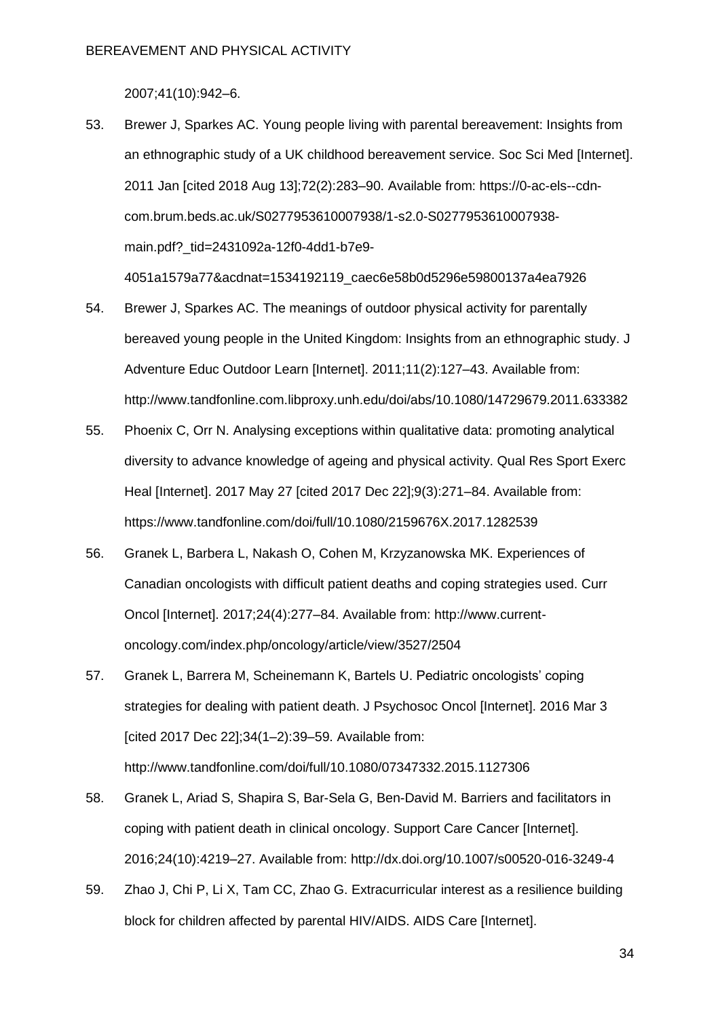2007;41(10):942–6.

- 53. Brewer J, Sparkes AC. Young people living with parental bereavement: Insights from an ethnographic study of a UK childhood bereavement service. Soc Sci Med [Internet]. 2011 Jan [cited 2018 Aug 13];72(2):283–90. Available from: https://0-ac-els--cdncom.brum.beds.ac.uk/S0277953610007938/1-s2.0-S0277953610007938 main.pdf?\_tid=2431092a-12f0-4dd1-b7e9- 4051a1579a77&acdnat=1534192119\_caec6e58b0d5296e59800137a4ea7926
- 54. Brewer J, Sparkes AC. The meanings of outdoor physical activity for parentally bereaved young people in the United Kingdom: Insights from an ethnographic study. J Adventure Educ Outdoor Learn [Internet]. 2011;11(2):127–43. Available from: http://www.tandfonline.com.libproxy.unh.edu/doi/abs/10.1080/14729679.2011.633382
- 55. Phoenix C, Orr N. Analysing exceptions within qualitative data: promoting analytical diversity to advance knowledge of ageing and physical activity. Qual Res Sport Exerc Heal [Internet]. 2017 May 27 [cited 2017 Dec 22];9(3):271–84. Available from: https://www.tandfonline.com/doi/full/10.1080/2159676X.2017.1282539
- 56. Granek L, Barbera L, Nakash O, Cohen M, Krzyzanowska MK. Experiences of Canadian oncologists with difficult patient deaths and coping strategies used. Curr Oncol [Internet]. 2017;24(4):277–84. Available from: http://www.currentoncology.com/index.php/oncology/article/view/3527/2504
- 57. Granek L, Barrera M, Scheinemann K, Bartels U. Pediatric oncologists' coping strategies for dealing with patient death. J Psychosoc Oncol [Internet]. 2016 Mar 3 [cited 2017 Dec 22];34(1–2):39–59. Available from: http://www.tandfonline.com/doi/full/10.1080/07347332.2015.1127306
- 58. Granek L, Ariad S, Shapira S, Bar-Sela G, Ben-David M. Barriers and facilitators in coping with patient death in clinical oncology. Support Care Cancer [Internet]. 2016;24(10):4219–27. Available from: http://dx.doi.org/10.1007/s00520-016-3249-4
- 59. Zhao J, Chi P, Li X, Tam CC, Zhao G. Extracurricular interest as a resilience building block for children affected by parental HIV/AIDS. AIDS Care [Internet].

34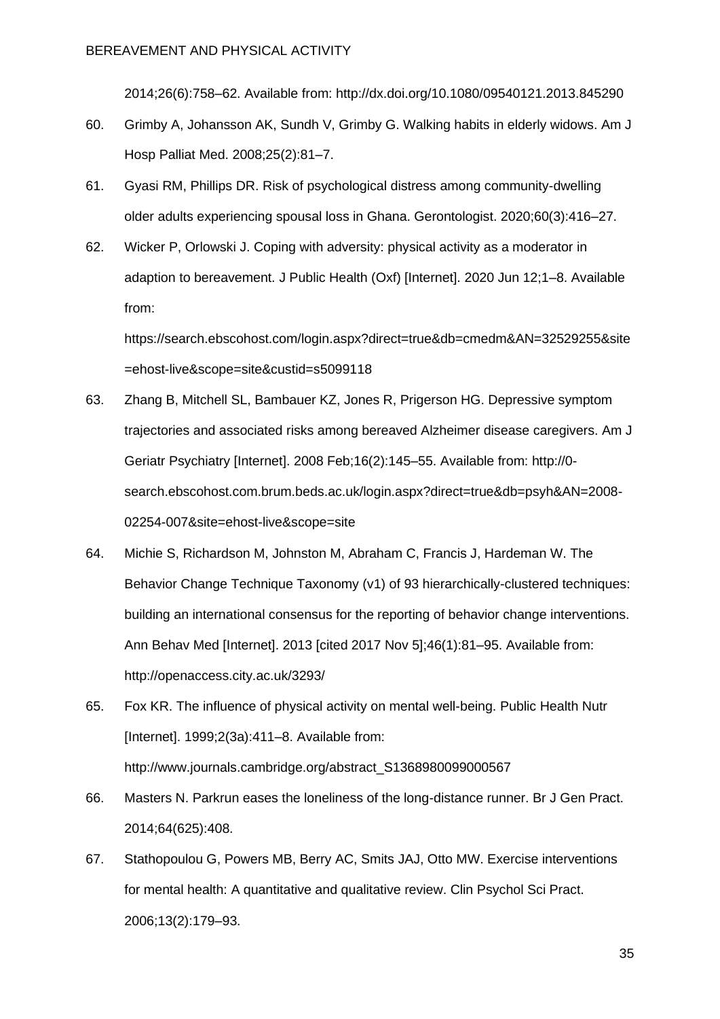2014;26(6):758–62. Available from: http://dx.doi.org/10.1080/09540121.2013.845290

- 60. Grimby A, Johansson AK, Sundh V, Grimby G. Walking habits in elderly widows. Am J Hosp Palliat Med. 2008;25(2):81–7.
- 61. Gyasi RM, Phillips DR. Risk of psychological distress among community-dwelling older adults experiencing spousal loss in Ghana. Gerontologist. 2020;60(3):416–27.
- 62. Wicker P, Orlowski J. Coping with adversity: physical activity as a moderator in adaption to bereavement. J Public Health (Oxf) [Internet]. 2020 Jun 12;1–8. Available from:

https://search.ebscohost.com/login.aspx?direct=true&db=cmedm&AN=32529255&site =ehost-live&scope=site&custid=s5099118

- 63. Zhang B, Mitchell SL, Bambauer KZ, Jones R, Prigerson HG. Depressive symptom trajectories and associated risks among bereaved Alzheimer disease caregivers. Am J Geriatr Psychiatry [Internet]. 2008 Feb;16(2):145–55. Available from: http://0 search.ebscohost.com.brum.beds.ac.uk/login.aspx?direct=true&db=psyh&AN=2008- 02254-007&site=ehost-live&scope=site
- 64. Michie S, Richardson M, Johnston M, Abraham C, Francis J, Hardeman W. The Behavior Change Technique Taxonomy (v1) of 93 hierarchically-clustered techniques: building an international consensus for the reporting of behavior change interventions. Ann Behav Med [Internet]. 2013 [cited 2017 Nov 5];46(1):81–95. Available from: http://openaccess.city.ac.uk/3293/
- 65. Fox KR. The influence of physical activity on mental well-being. Public Health Nutr [Internet]. 1999;2(3a):411–8. Available from: http://www.journals.cambridge.org/abstract\_S1368980099000567
- 66. Masters N. Parkrun eases the loneliness of the long-distance runner. Br J Gen Pract. 2014;64(625):408.
- 67. Stathopoulou G, Powers MB, Berry AC, Smits JAJ, Otto MW. Exercise interventions for mental health: A quantitative and qualitative review. Clin Psychol Sci Pract. 2006;13(2):179–93.